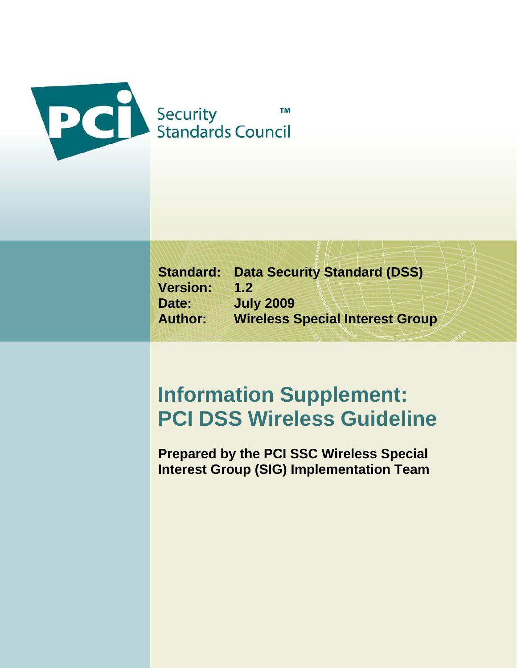

**Standard: Data Security Standard (DSS) Version: 1.2 Date: July 2009 Author: Wireless Special Interest Group** 

# **Information Supplement: PCI DSS Wireless Guideline**

**Prepared by the PCI SSC Wireless Special Interest Group (SIG) Implementation Team**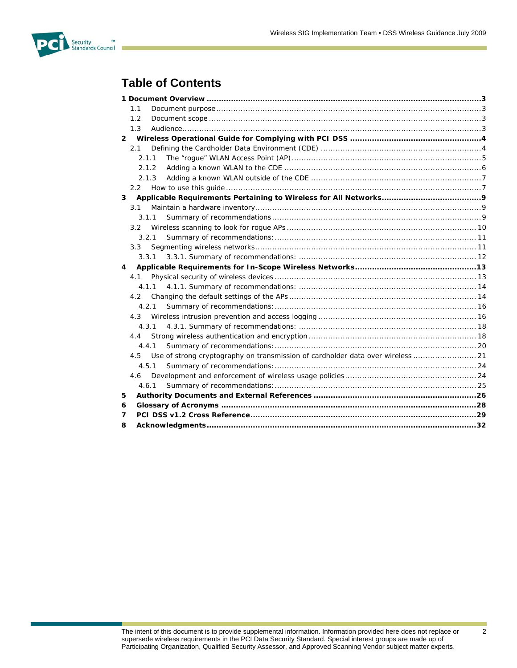

# **Table of Contents**

|   | 1.1                                                                                    |  |
|---|----------------------------------------------------------------------------------------|--|
|   | 1.2                                                                                    |  |
|   | 1.3                                                                                    |  |
|   |                                                                                        |  |
|   | 2.1                                                                                    |  |
|   | 2.1.1                                                                                  |  |
|   | 2.1.2                                                                                  |  |
|   |                                                                                        |  |
|   |                                                                                        |  |
| 3 |                                                                                        |  |
|   | 3.1                                                                                    |  |
|   | 3.1.1                                                                                  |  |
|   | 3.2                                                                                    |  |
|   | 3.2.1                                                                                  |  |
|   | $3.3 -$                                                                                |  |
|   |                                                                                        |  |
| 4 |                                                                                        |  |
|   | 4.1                                                                                    |  |
|   |                                                                                        |  |
|   |                                                                                        |  |
|   | 4.2.1                                                                                  |  |
|   |                                                                                        |  |
|   | 4.3.1                                                                                  |  |
|   | 4.4                                                                                    |  |
|   | 4.4.1                                                                                  |  |
|   | Use of strong cryptography on transmission of cardholder data over wireless  21<br>4.5 |  |
|   | 4.5.1                                                                                  |  |
|   | 4.6                                                                                    |  |
|   | 4.6.1                                                                                  |  |
| 5 |                                                                                        |  |
| 6 |                                                                                        |  |
| 7 |                                                                                        |  |
| 8 |                                                                                        |  |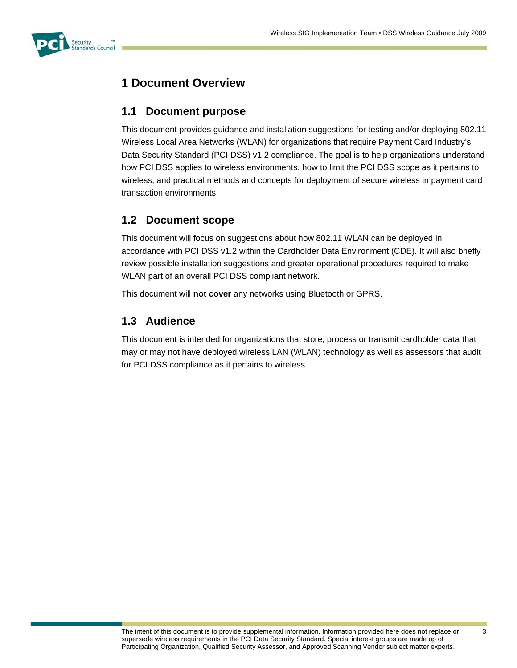

# **1 Document Overview**

# **1.1 Document purpose**

This document provides guidance and installation suggestions for testing and/or deploying 802.11 Wireless Local Area Networks (WLAN) for organizations that require Payment Card Industry's Data Security Standard (PCI DSS) v1.2 compliance. The goal is to help organizations understand how PCI DSS applies to wireless environments, how to limit the PCI DSS scope as it pertains to wireless, and practical methods and concepts for deployment of secure wireless in payment card transaction environments.

# **1.2 Document scope**

This document will focus on suggestions about how 802.11 WLAN can be deployed in accordance with PCI DSS v1.2 within the Cardholder Data Environment (CDE). It will also briefly review possible installation suggestions and greater operational procedures required to make WLAN part of an overall PCI DSS compliant network.

This document will **not cover** any networks using Bluetooth or GPRS.

# **1.3 Audience**

This document is intended for organizations that store, process or transmit cardholder data that may or may not have deployed wireless LAN (WLAN) technology as well as assessors that audit for PCI DSS compliance as it pertains to wireless.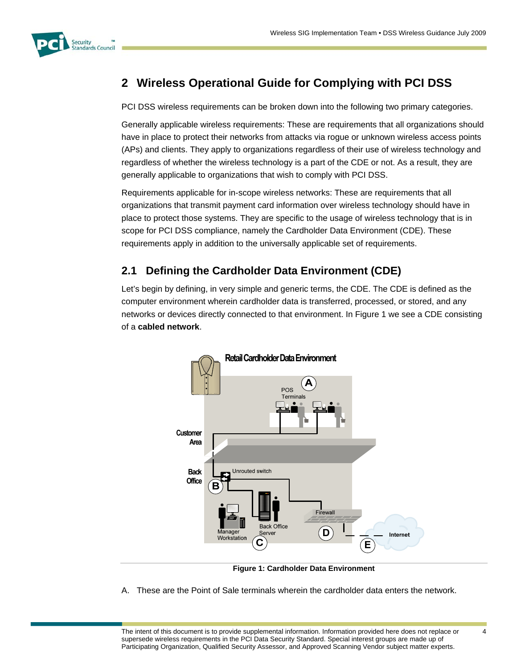

# **2 Wireless Operational Guide for Complying with PCI DSS**

PCI DSS wireless requirements can be broken down into the following two primary categories.

Generally applicable wireless requirements: These are requirements that all organizations should have in place to protect their networks from attacks via rogue or unknown wireless access points (APs) and clients. They apply to organizations regardless of their use of wireless technology and regardless of whether the wireless technology is a part of the CDE or not. As a result, they are generally applicable to organizations that wish to comply with PCI DSS.

Requirements applicable for in-scope wireless networks: These are requirements that all organizations that transmit payment card information over wireless technology should have in place to protect those systems. They are specific to the usage of wireless technology that is in scope for PCI DSS compliance, namely the Cardholder Data Environment (CDE). These requirements apply in addition to the universally applicable set of requirements.

# **2.1 Defining the Cardholder Data Environment (CDE)**

Let's begin by defining, in very simple and generic terms, the CDE. The CDE is defined as the computer environment wherein cardholder data is transferred, processed, or stored, and any networks or devices directly connected to that environment. In Figure 1 we see a CDE consisting of a **cabled network**.



**Figure 1: Cardholder Data Environment** 

A. These are the Point of Sale terminals wherein the cardholder data enters the network.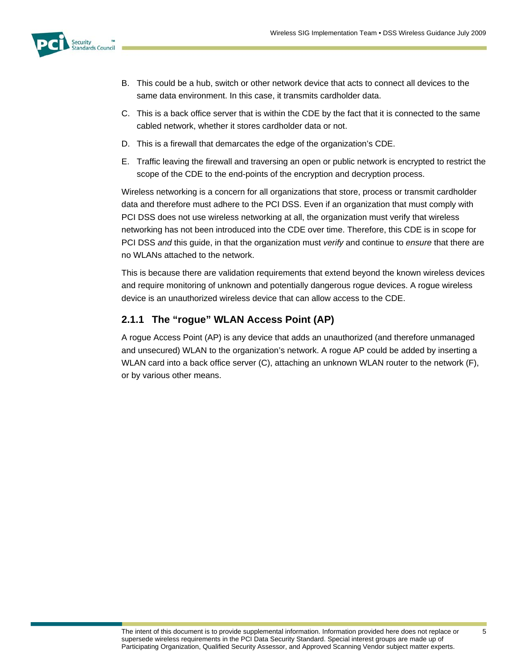

- B. This could be a hub, switch or other network device that acts to connect all devices to the same data environment. In this case, it transmits cardholder data.
- C. This is a back office server that is within the CDE by the fact that it is connected to the same cabled network, whether it stores cardholder data or not.
- D. This is a firewall that demarcates the edge of the organization's CDE.
- E. Traffic leaving the firewall and traversing an open or public network is encrypted to restrict the scope of the CDE to the end-points of the encryption and decryption process.

Wireless networking is a concern for all organizations that store, process or transmit cardholder data and therefore must adhere to the PCI DSS. Even if an organization that must comply with PCI DSS does not use wireless networking at all, the organization must verify that wireless networking has not been introduced into the CDE over time. Therefore, this CDE is in scope for PCI DSS *and* this guide, in that the organization must *verify* and continue to *ensure* that there are no WLANs attached to the network.

This is because there are validation requirements that extend beyond the known wireless devices and require monitoring of unknown and potentially dangerous rogue devices. A rogue wireless device is an unauthorized wireless device that can allow access to the CDE.

# **2.1.1 The "rogue" WLAN Access Point (AP)**

A rogue Access Point (AP) is any device that adds an unauthorized (and therefore unmanaged and unsecured) WLAN to the organization's network. A rogue AP could be added by inserting a WLAN card into a back office server (C), attaching an unknown WLAN router to the network (F), or by various other means.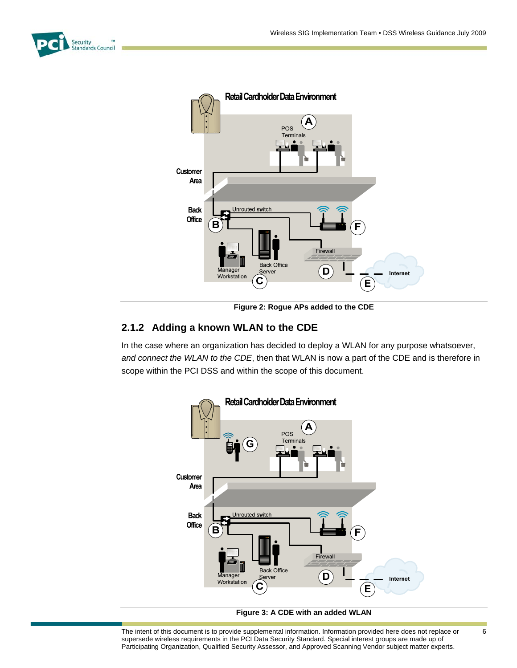



**Figure 2: Rogue APs added to the CDE** 

### **2.1.2 Adding a known WLAN to the CDE**

In the case where an organization has decided to deploy a WLAN for any purpose whatsoever, *and connect the WLAN to the CDE*, then that WLAN is now a part of the CDE and is therefore in scope within the PCI DSS and within the scope of this document.





The intent of this document is to provide supplemental information. Information provided here does not replace or supersede wireless requirements in the PCI Data Security Standard. Special interest groups are made up of Participating Organization, Qualified Security Assessor, and Approved Scanning Vendor subject matter experts.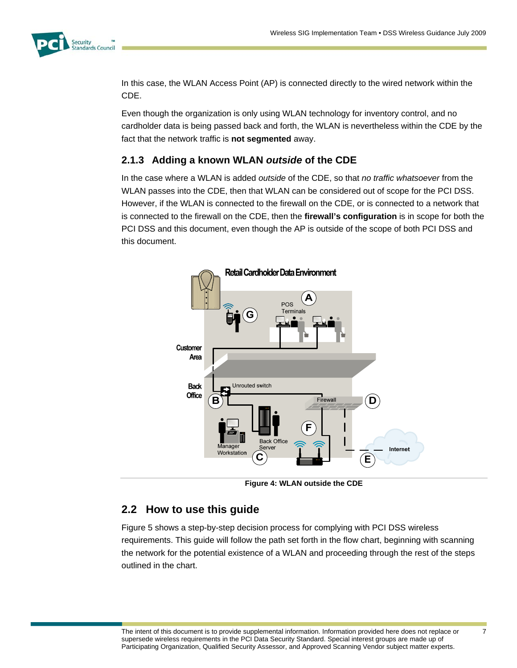

In this case, the WLAN Access Point (AP) is connected directly to the wired network within the CDE.

Even though the organization is only using WLAN technology for inventory control, and no cardholder data is being passed back and forth, the WLAN is nevertheless within the CDE by the fact that the network traffic is **not segmented** away.

### **2.1.3 Adding a known WLAN** *outside* **of the CDE**

In the case where a WLAN is added *outside* of the CDE, so that *no traffic whatsoever* from the WLAN passes into the CDE, then that WLAN can be considered out of scope for the PCI DSS. However, if the WLAN is connected to the firewall on the CDE, or is connected to a network that is connected to the firewall on the CDE, then the **firewall's configuration** is in scope for both the PCI DSS and this document, even though the AP is outside of the scope of both PCI DSS and this document.



**Figure 4: WLAN outside the CDE** 

# **2.2 How to use this guide**

Figure 5 shows a step-by-step decision process for complying with PCI DSS wireless requirements. This guide will follow the path set forth in the flow chart, beginning with scanning the network for the potential existence of a WLAN and proceeding through the rest of the steps outlined in the chart.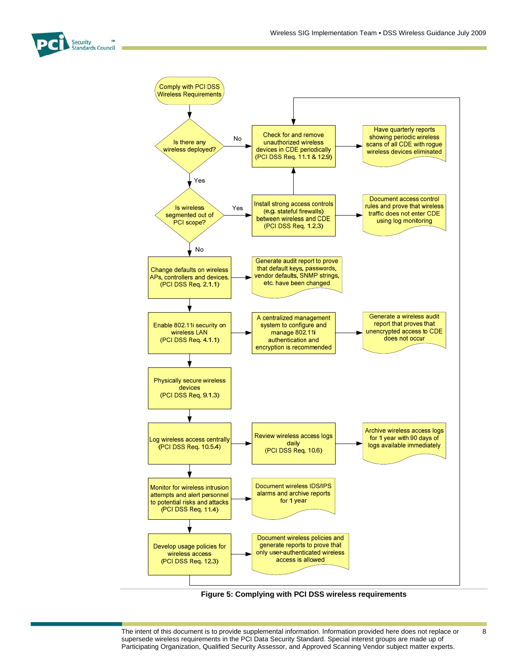



**Figure 5: Complying with PCI DSS wireless requirements** 

The intent of this document is to provide supplemental information. Information provided here does not replace or supersede wireless requirements in the PCI Data Security Standard. Special interest groups are made up of Participating Organization, Qualified Security Assessor, and Approved Scanning Vendor subject matter experts.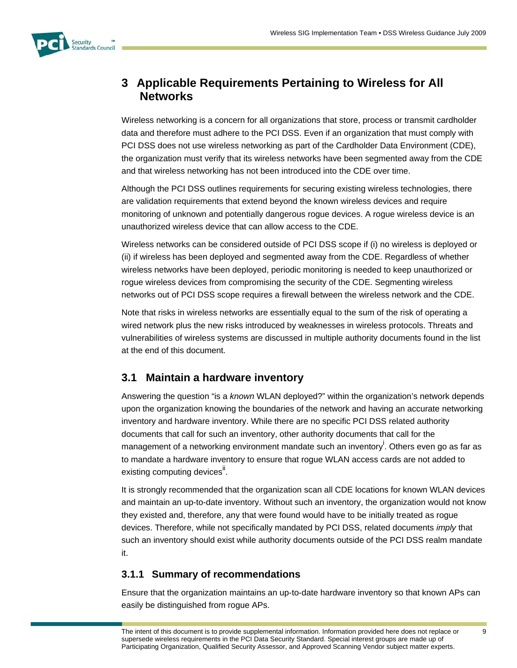

# **3 Applicable Requirements Pertaining to Wireless for All Networks**

Wireless networking is a concern for all organizations that store, process or transmit cardholder data and therefore must adhere to the PCI DSS. Even if an organization that must comply with PCI DSS does not use wireless networking as part of the Cardholder Data Environment (CDE), the organization must verify that its wireless networks have been segmented away from the CDE and that wireless networking has not been introduced into the CDE over time.

Although the PCI DSS outlines requirements for securing existing wireless technologies, there are validation requirements that extend beyond the known wireless devices and require monitoring of unknown and potentially dangerous rogue devices. A rogue wireless device is an unauthorized wireless device that can allow access to the CDE.

Wireless networks can be considered outside of PCI DSS scope if (i) no wireless is deployed or (ii) if wireless has been deployed and segmented away from the CDE. Regardless of whether wireless networks have been deployed, periodic monitoring is needed to keep unauthorized or rogue wireless devices from compromising the security of the CDE. Segmenting wireless networks out of PCI DSS scope requires a firewall between the wireless network and the CDE.

Note that risks in wireless networks are essentially equal to the sum of the risk of operating a wired network plus the new risks introduced by weaknesses in wireless protocols. Threats and vulnerabilities of wireless systems are discussed in multiple authority documents found in the list at the end of this document.

# **3.1 Maintain a hardware inventory**

Answering the question "is a *known* WLAN deployed?" within the organization's network depends upon the organization knowing the boundaries of the network and having an accurate networking inventory and hardware inventory. While there are no specific PCI DSS related authority documents that call for such an inventory, other authority documents that call for the management of a networking environment mandate such an inventory<sup>i</sup>. Others even go as far as to mandate a hardware inventory to ensure that rogue WLAN access cards are not added to existing computing devices<sup>ii</sup>.

It is strongly recommended that the organization scan all CDE locations for known WLAN devices and maintain an up-to-date inventory. Without such an inventory, the organization would not know they existed and, therefore, any that were found would have to be initially treated as rogue devices. Therefore, while not specifically mandated by PCI DSS, related documents *imply* that such an inventory should exist while authority documents outside of the PCI DSS realm mandate it.

# **3.1.1 Summary of recommendations**

Ensure that the organization maintains an up-to-date hardware inventory so that known APs can easily be distinguished from rogue APs.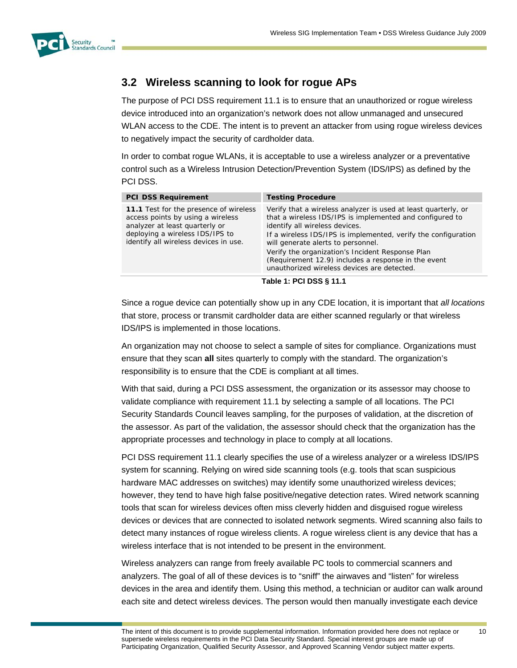

# **3.2 Wireless scanning to look for rogue APs**

The purpose of PCI DSS requirement 11.1 is to ensure that an unauthorized or rogue wireless device introduced into an organization's network does not allow unmanaged and unsecured WLAN access to the CDE. The intent is to prevent an attacker from using rogue wireless devices to negatively impact the security of cardholder data.

In order to combat rogue WLANs, it is acceptable to use a wireless analyzer or a preventative control such as a Wireless Intrusion Detection/Prevention System (IDS/IPS) as defined by the PCI DSS.

| <b>PCI DSS Requirement</b>                                                                                                                                                                | <b>Testing Procedure</b>                                                                                                                                                                                                                                                                                                                                                                                                       |  |
|-------------------------------------------------------------------------------------------------------------------------------------------------------------------------------------------|--------------------------------------------------------------------------------------------------------------------------------------------------------------------------------------------------------------------------------------------------------------------------------------------------------------------------------------------------------------------------------------------------------------------------------|--|
| 11.1 Test for the presence of wireless<br>access points by using a wireless<br>analyzer at least quarterly or<br>deploying a wireless IDS/IPS to<br>identify all wireless devices in use. | Verify that a wireless analyzer is used at least quarterly, or<br>that a wireless IDS/IPS is implemented and configured to<br>identify all wireless devices.<br>If a wireless IDS/IPS is implemented, verify the configuration<br>will generate alerts to personnel.<br>Verify the organization's Incident Response Plan<br>(Requirement 12.9) includes a response in the event<br>unauthorized wireless devices are detected. |  |
| Table 4. DOI DOO C 44.4                                                                                                                                                                   |                                                                                                                                                                                                                                                                                                                                                                                                                                |  |

**Table 1: PCI DSS § 11.1** 

Since a rogue device can potentially show up in any CDE location, it is important that *all locations* that store, process or transmit cardholder data are either scanned regularly or that wireless IDS/IPS is implemented in those locations.

An organization may not choose to select a sample of sites for compliance. Organizations must ensure that they scan **all** sites quarterly to comply with the standard. The organization's responsibility is to ensure that the CDE is compliant at all times.

With that said, during a PCI DSS assessment, the organization or its assessor may choose to validate compliance with requirement 11.1 by selecting a sample of all locations. The PCI Security Standards Council leaves sampling, for the purposes of validation, at the discretion of the assessor. As part of the validation, the assessor should check that the organization has the appropriate processes and technology in place to comply at all locations.

PCI DSS requirement 11.1 clearly specifies the use of a wireless analyzer or a wireless IDS/IPS system for scanning. Relying on wired side scanning tools (e.g. tools that scan suspicious hardware MAC addresses on switches) may identify some unauthorized wireless devices; however, they tend to have high false positive/negative detection rates. Wired network scanning tools that scan for wireless devices often miss cleverly hidden and disguised rogue wireless devices or devices that are connected to isolated network segments. Wired scanning also fails to detect many instances of rogue wireless clients. A rogue wireless client is any device that has a wireless interface that is not intended to be present in the environment.

Wireless analyzers can range from freely available PC tools to commercial scanners and analyzers. The goal of all of these devices is to "sniff" the airwaves and "listen" for wireless devices in the area and identify them. Using this method, a technician or auditor can walk around each site and detect wireless devices. The person would then manually investigate each device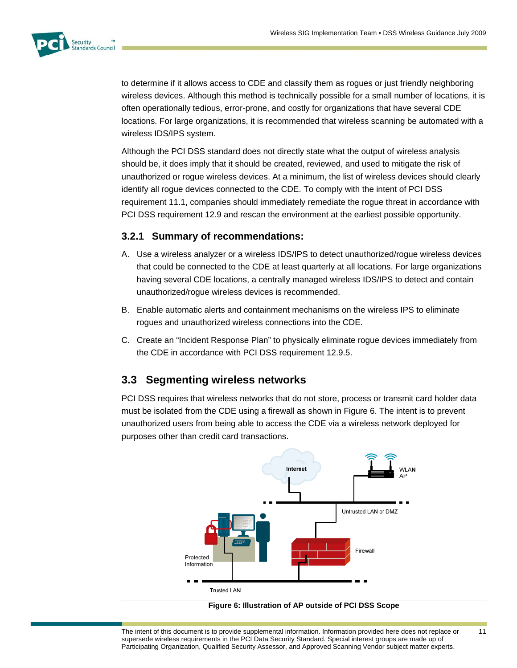

to determine if it allows access to CDE and classify them as rogues or just friendly neighboring wireless devices. Although this method is technically possible for a small number of locations, it is often operationally tedious, error-prone, and costly for organizations that have several CDE locations. For large organizations, it is recommended that wireless scanning be automated with a wireless IDS/IPS system.

Although the PCI DSS standard does not directly state what the output of wireless analysis should be, it does imply that it should be created, reviewed, and used to mitigate the risk of unauthorized or rogue wireless devices. At a minimum, the list of wireless devices should clearly identify all rogue devices connected to the CDE. To comply with the intent of PCI DSS requirement 11.1, companies should immediately remediate the rogue threat in accordance with PCI DSS requirement 12.9 and rescan the environment at the earliest possible opportunity.

### **3.2.1 Summary of recommendations:**

- A. Use a wireless analyzer or a wireless IDS/IPS to detect unauthorized/rogue wireless devices that could be connected to the CDE at least quarterly at all locations. For large organizations having several CDE locations, a centrally managed wireless IDS/IPS to detect and contain unauthorized/rogue wireless devices is recommended.
- B. Enable automatic alerts and containment mechanisms on the wireless IPS to eliminate rogues and unauthorized wireless connections into the CDE.
- C. Create an "Incident Response Plan" to physically eliminate rogue devices immediately from the CDE in accordance with PCI DSS requirement 12.9.5.

# **3.3 Segmenting wireless networks**

PCI DSS requires that wireless networks that do not store, process or transmit card holder data must be isolated from the CDE using a firewall as shown in Figure 6. The intent is to prevent unauthorized users from being able to access the CDE via a wireless network deployed for purposes other than credit card transactions.



**Figure 6: Illustration of AP outside of PCI DSS Scope** 

The intent of this document is to provide supplemental information. Information provided here does not replace or supersede wireless requirements in the PCI Data Security Standard. Special interest groups are made up of Participating Organization, Qualified Security Assessor, and Approved Scanning Vendor subject matter experts.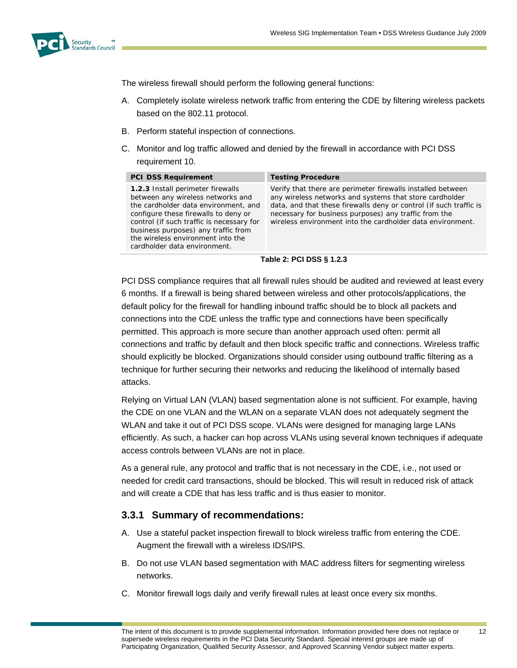

The wireless firewall should perform the following general functions:

- A. Completely isolate wireless network traffic from entering the CDE by filtering wireless packets based on the 802.11 protocol.
- B. Perform stateful inspection of connections.
- C. Monitor and log traffic allowed and denied by the firewall in accordance with PCI DSS requirement 10.

| <b>PCI DSS Requirement</b>                                                                                                                                                                                                                                                                                      | <b>Testing Procedure</b>                                                                                                                                                                                                                                                                                            |
|-----------------------------------------------------------------------------------------------------------------------------------------------------------------------------------------------------------------------------------------------------------------------------------------------------------------|---------------------------------------------------------------------------------------------------------------------------------------------------------------------------------------------------------------------------------------------------------------------------------------------------------------------|
| 1.2.3 Install perimeter firewalls<br>between any wireless networks and<br>the cardholder data environment, and<br>configure these firewalls to deny or<br>control (if such traffic is necessary for<br>business purposes) any traffic from<br>the wireless environment into the<br>cardholder data environment. | Verify that there are perimeter firewalls installed between<br>any wireless networks and systems that store cardholder<br>data, and that these firewalls deny or control (if such traffic is<br>necessary for business purposes) any traffic from the<br>wireless environment into the cardholder data environment. |

#### **Table 2: PCI DSS § 1.2.3**

PCI DSS compliance requires that all firewall rules should be audited and reviewed at least every 6 months. If a firewall is being shared between wireless and other protocols/applications, the default policy for the firewall for handling inbound traffic should be to block all packets and connections into the CDE unless the traffic type and connections have been specifically permitted. This approach is more secure than another approach used often: permit all connections and traffic by default and then block specific traffic and connections. Wireless traffic should explicitly be blocked. Organizations should consider using outbound traffic filtering as a technique for further securing their networks and reducing the likelihood of internally based attacks.

Relying on Virtual LAN (VLAN) based segmentation alone is not sufficient. For example, having the CDE on one VLAN and the WLAN on a separate VLAN does not adequately segment the WLAN and take it out of PCI DSS scope. VLANs were designed for managing large LANs efficiently. As such, a hacker can hop across VLANs using several known techniques if adequate access controls between VLANs are not in place.

As a general rule, any protocol and traffic that is not necessary in the CDE, i.e., not used or needed for credit card transactions, should be blocked. This will result in reduced risk of attack and will create a CDE that has less traffic and is thus easier to monitor.

#### **3.3.1 Summary of recommendations:**

- A. Use a stateful packet inspection firewall to block wireless traffic from entering the CDE. Augment the firewall with a wireless IDS/IPS.
- B. Do not use VLAN based segmentation with MAC address filters for segmenting wireless networks.
- C. Monitor firewall logs daily and verify firewall rules at least once every six months.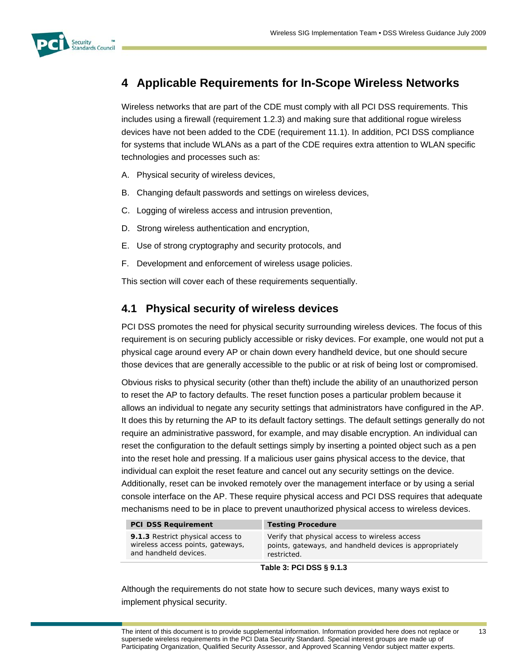

# **4 Applicable Requirements for In-Scope Wireless Networks**

Wireless networks that are part of the CDE must comply with all PCI DSS requirements. This includes using a firewall (requirement 1.2.3) and making sure that additional rogue wireless devices have not been added to the CDE (requirement 11.1). In addition, PCI DSS compliance for systems that include WLANs as a part of the CDE requires extra attention to WLAN specific technologies and processes such as:

- A. Physical security of wireless devices,
- B. Changing default passwords and settings on wireless devices,
- C. Logging of wireless access and intrusion prevention,
- D. Strong wireless authentication and encryption,
- E. Use of strong cryptography and security protocols, and
- F. Development and enforcement of wireless usage policies.

This section will cover each of these requirements sequentially.

# **4.1 Physical security of wireless devices**

PCI DSS promotes the need for physical security surrounding wireless devices. The focus of this requirement is on securing publicly accessible or risky devices. For example, one would not put a physical cage around every AP or chain down every handheld device, but one should secure those devices that are generally accessible to the public or at risk of being lost or compromised.

Obvious risks to physical security (other than theft) include the ability of an unauthorized person to reset the AP to factory defaults. The reset function poses a particular problem because it allows an individual to negate any security settings that administrators have configured in the AP. It does this by returning the AP to its default factory settings. The default settings generally do not require an administrative password, for example, and may disable encryption. An individual can reset the configuration to the default settings simply by inserting a pointed object such as a pen into the reset hole and pressing. If a malicious user gains physical access to the device, that individual can exploit the reset feature and cancel out any security settings on the device. Additionally, reset can be invoked remotely over the management interface or by using a serial console interface on the AP. These require physical access and PCI DSS requires that adequate mechanisms need to be in place to prevent unauthorized physical access to wireless devices.

| <b>PCI DSS Requirement</b>                                                                      | <b>Testing Procedure</b>                                                                                                 |  |
|-------------------------------------------------------------------------------------------------|--------------------------------------------------------------------------------------------------------------------------|--|
| 9.1.3 Restrict physical access to<br>wireless access points, gateways,<br>and handheld devices. | Verify that physical access to wireless access<br>points, gateways, and handheld devices is appropriately<br>restricted. |  |
| $T - L L$ , $A$ , $D A$ , $D A A$ , $E A$ , $A$                                                 |                                                                                                                          |  |

#### **Table 3: PCI DSS § 9.1.3**

Although the requirements do not state how to secure such devices, many ways exist to implement physical security.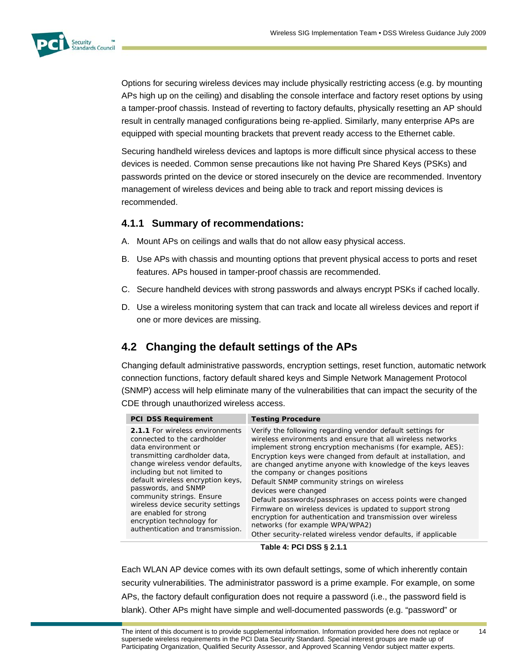

Options for securing wireless devices may include physically restricting access (e.g. by mounting APs high up on the ceiling) and disabling the console interface and factory reset options by using a tamper-proof chassis. Instead of reverting to factory defaults, physically resetting an AP should result in centrally managed configurations being re-applied. Similarly, many enterprise APs are equipped with special mounting brackets that prevent ready access to the Ethernet cable.

Securing handheld wireless devices and laptops is more difficult since physical access to these devices is needed. Common sense precautions like not having Pre Shared Keys (PSKs) and passwords printed on the device or stored insecurely on the device are recommended. Inventory management of wireless devices and being able to track and report missing devices is recommended.

### **4.1.1 Summary of recommendations:**

- A. Mount APs on ceilings and walls that do not allow easy physical access.
- B. Use APs with chassis and mounting options that prevent physical access to ports and reset features. APs housed in tamper-proof chassis are recommended.
- C. Secure handheld devices with strong passwords and always encrypt PSKs if cached locally.
- D. Use a wireless monitoring system that can track and locate all wireless devices and report if one or more devices are missing.

# **4.2 Changing the default settings of the APs**

Changing default administrative passwords, encryption settings, reset function, automatic network connection functions, factory default shared keys and Simple Network Management Protocol (SNMP) access will help eliminate many of the vulnerabilities that can impact the security of the CDE through unauthorized wireless access.

| <b>PCI DSS Requirement</b>        | <b>Testing Procedure</b>                                       |
|-----------------------------------|----------------------------------------------------------------|
| 2.1.1 For wireless environments   | Verify the following regarding vendor default settings for     |
| connected to the cardholder       | wireless environments and ensure that all wireless networks    |
| data environment or               | implement strong encryption mechanisms (for example, AES):     |
| transmitting cardholder data,     | Encryption keys were changed from default at installation, and |
| change wireless vendor defaults,  | are changed anytime anyone with knowledge of the keys leaves   |
| including but not limited to      | the company or changes positions                               |
| default wireless encryption keys, | Default SNMP community strings on wireless                     |
| passwords, and SNMP               | devices were changed                                           |
| community strings. Ensure         | Default passwords/passphrases on access points were changed    |
| wireless device security settings | Firmware on wireless devices is updated to support strong      |
| are enabled for strong            | encryption for authentication and transmission over wireless   |
| encryption technology for         | networks (for example WPA/WPA2)                                |
| authentication and transmission.  | Other security-related wireless vendor defaults, if applicable |

#### **Table 4: PCI DSS § 2.1.1**

Each WLAN AP device comes with its own default settings, some of which inherently contain security vulnerabilities. The administrator password is a prime example. For example, on some APs, the factory default configuration does not require a password (i.e., the password field is blank). Other APs might have simple and well-documented passwords (e.g. "password" or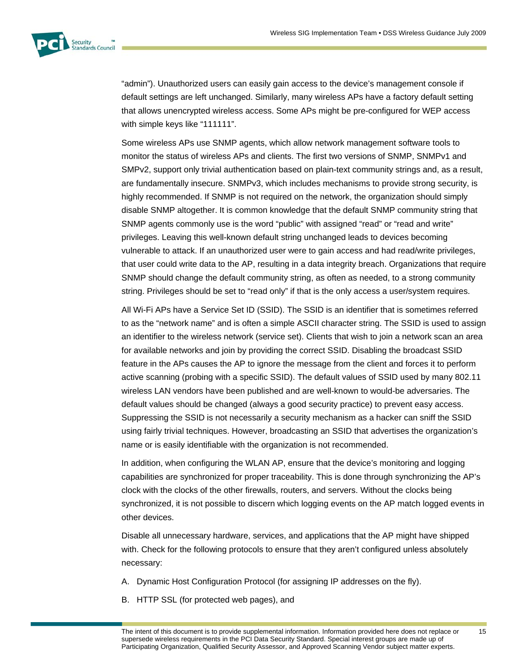

"admin"). Unauthorized users can easily gain access to the device's management console if default settings are left unchanged. Similarly, many wireless APs have a factory default setting that allows unencrypted wireless access. Some APs might be pre-configured for WEP access with simple keys like "111111".

Some wireless APs use SNMP agents, which allow network management software tools to monitor the status of wireless APs and clients. The first two versions of SNMP, SNMPv1 and SMPv2, support only trivial authentication based on plain-text community strings and, as a result, are fundamentally insecure. SNMPv3, which includes mechanisms to provide strong security, is highly recommended. If SNMP is not required on the network, the organization should simply disable SNMP altogether. It is common knowledge that the default SNMP community string that SNMP agents commonly use is the word "public" with assigned "read" or "read and write" privileges. Leaving this well-known default string unchanged leads to devices becoming vulnerable to attack. If an unauthorized user were to gain access and had read/write privileges, that user could write data to the AP, resulting in a data integrity breach. Organizations that require SNMP should change the default community string, as often as needed, to a strong community string. Privileges should be set to "read only" if that is the only access a user/system requires.

All Wi-Fi APs have a Service Set ID (SSID). The SSID is an identifier that is sometimes referred to as the "network name" and is often a simple ASCII character string. The SSID is used to assign an identifier to the wireless network (service set). Clients that wish to join a network scan an area for available networks and join by providing the correct SSID. Disabling the broadcast SSID feature in the APs causes the AP to ignore the message from the client and forces it to perform active scanning (probing with a specific SSID). The default values of SSID used by many 802.11 wireless LAN vendors have been published and are well-known to would-be adversaries. The default values should be changed (always a good security practice) to prevent easy access. Suppressing the SSID is not necessarily a security mechanism as a hacker can sniff the SSID using fairly trivial techniques. However, broadcasting an SSID that advertises the organization's name or is easily identifiable with the organization is not recommended.

In addition, when configuring the WLAN AP, ensure that the device's monitoring and logging capabilities are synchronized for proper traceability. This is done through synchronizing the AP's clock with the clocks of the other firewalls, routers, and servers. Without the clocks being synchronized, it is not possible to discern which logging events on the AP match logged events in other devices.

Disable all unnecessary hardware, services, and applications that the AP might have shipped with. Check for the following protocols to ensure that they aren't configured unless absolutely necessary:

- A. Dynamic Host Configuration Protocol (for assigning IP addresses on the fly).
- B. HTTP SSL (for protected web pages), and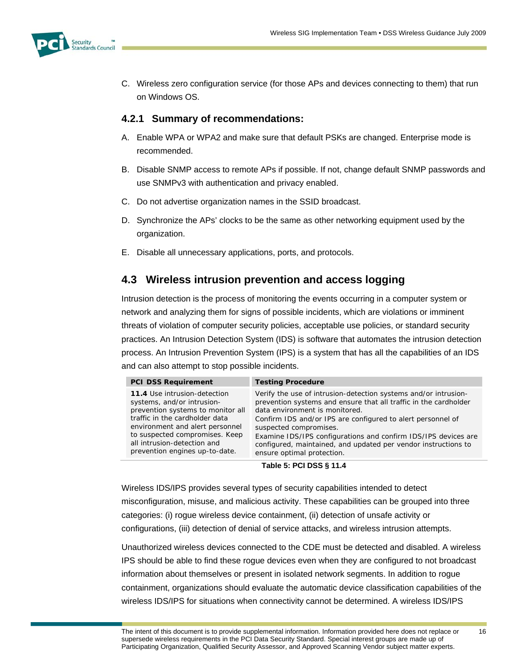

C. Wireless zero configuration service (for those APs and devices connecting to them) that run on Windows OS.

### **4.2.1 Summary of recommendations:**

- A. Enable WPA or WPA2 and make sure that default PSKs are changed. Enterprise mode is recommended.
- B. Disable SNMP access to remote APs if possible. If not, change default SNMP passwords and use SNMPv3 with authentication and privacy enabled.
- C. Do not advertise organization names in the SSID broadcast.
- D. Synchronize the APs' clocks to be the same as other networking equipment used by the organization.
- E. Disable all unnecessary applications, ports, and protocols.

# **4.3 Wireless intrusion prevention and access logging**

Intrusion detection is the process of monitoring the events occurring in a computer system or network and analyzing them for signs of possible incidents, which are violations or imminent threats of violation of computer security policies, acceptable use policies, or standard security practices. An Intrusion Detection System (IDS) is software that automates the intrusion detection process. An Intrusion Prevention System (IPS) is a system that has all the capabilities of an IDS and can also attempt to stop possible incidents.

| <b>PCI DSS Requirement</b>                                                                                                                                                                                                                                              | <b>Testing Procedure</b>                                                                                                                                                                                                                                                                                                                                                                                                         |
|-------------------------------------------------------------------------------------------------------------------------------------------------------------------------------------------------------------------------------------------------------------------------|----------------------------------------------------------------------------------------------------------------------------------------------------------------------------------------------------------------------------------------------------------------------------------------------------------------------------------------------------------------------------------------------------------------------------------|
| 11.4 Use intrusion-detection<br>systems, and/or intrusion-<br>prevention systems to monitor all<br>traffic in the cardholder data<br>environment and alert personnel<br>to suspected compromises. Keep<br>all intrusion-detection and<br>prevention engines up-to-date. | Verify the use of intrusion-detection systems and/or intrusion-<br>prevention systems and ensure that all traffic in the cardholder<br>data environment is monitored.<br>Confirm IDS and/or IPS are configured to alert personnel of<br>suspected compromises.<br>Examine IDS/IPS configurations and confirm IDS/IPS devices are<br>configured, maintained, and updated per vendor instructions to<br>ensure optimal protection. |
|                                                                                                                                                                                                                                                                         | ---------                                                                                                                                                                                                                                                                                                                                                                                                                        |

#### **Table 5: PCI DSS § 11.4**

Wireless IDS/IPS provides several types of security capabilities intended to detect misconfiguration, misuse, and malicious activity. These capabilities can be grouped into three categories: (i) rogue wireless device containment, (ii) detection of unsafe activity or configurations, (iii) detection of denial of service attacks, and wireless intrusion attempts.

Unauthorized wireless devices connected to the CDE must be detected and disabled. A wireless IPS should be able to find these rogue devices even when they are configured to not broadcast information about themselves or present in isolated network segments. In addition to rogue containment, organizations should evaluate the automatic device classification capabilities of the wireless IDS/IPS for situations when connectivity cannot be determined. A wireless IDS/IPS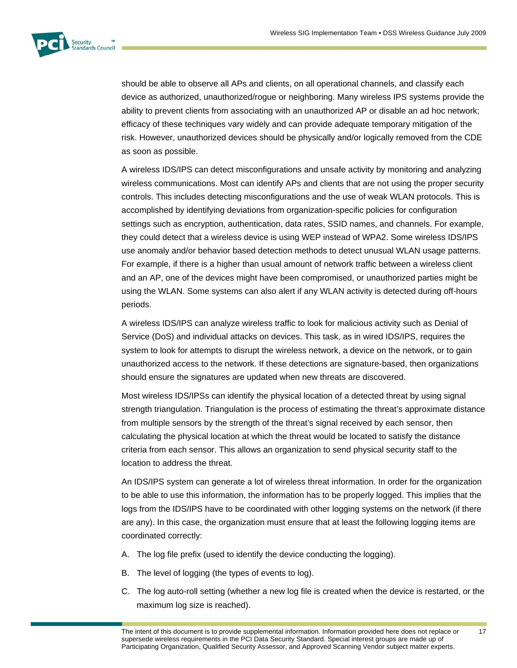

should be able to observe all APs and clients, on all operational channels, and classify each device as authorized, unauthorized/rogue or neighboring. Many wireless IPS systems provide the ability to prevent clients from associating with an unauthorized AP or disable an ad hoc network; efficacy of these techniques vary widely and can provide adequate temporary mitigation of the risk. However, unauthorized devices should be physically and/or logically removed from the CDE as soon as possible.

A wireless IDS/IPS can detect misconfigurations and unsafe activity by monitoring and analyzing wireless communications. Most can identify APs and clients that are not using the proper security controls. This includes detecting misconfigurations and the use of weak WLAN protocols. This is accomplished by identifying deviations from organization-specific policies for configuration settings such as encryption, authentication, data rates, SSID names, and channels. For example, they could detect that a wireless device is using WEP instead of WPA2. Some wireless IDS/IPS use anomaly and/or behavior based detection methods to detect unusual WLAN usage patterns. For example, if there is a higher than usual amount of network traffic between a wireless client and an AP, one of the devices might have been compromised, or unauthorized parties might be using the WLAN. Some systems can also alert if any WLAN activity is detected during off-hours periods.

A wireless IDS/IPS can analyze wireless traffic to look for malicious activity such as Denial of Service (DoS) and individual attacks on devices. This task, as in wired IDS/IPS, requires the system to look for attempts to disrupt the wireless network, a device on the network, or to gain unauthorized access to the network. If these detections are signature-based, then organizations should ensure the signatures are updated when new threats are discovered.

Most wireless IDS/IPSs can identify the physical location of a detected threat by using signal strength triangulation. Triangulation is the process of estimating the threat's approximate distance from multiple sensors by the strength of the threat's signal received by each sensor, then calculating the physical location at which the threat would be located to satisfy the distance criteria from each sensor. This allows an organization to send physical security staff to the location to address the threat.

An IDS/IPS system can generate a lot of wireless threat information. In order for the organization to be able to use this information, the information has to be properly logged. This implies that the logs from the IDS/IPS have to be coordinated with other logging systems on the network (if there are any). In this case, the organization must ensure that at least the following logging items are coordinated correctly:

- A. The log file prefix (used to identify the device conducting the logging).
- B. The level of logging (the types of events to log).
- C. The log auto-roll setting (whether a new log file is created when the device is restarted, or the maximum log size is reached).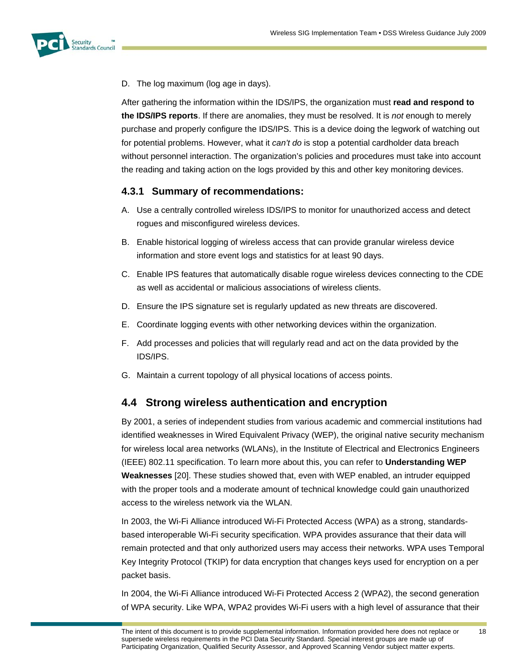

D. The log maximum (log age in days).

After gathering the information within the IDS/IPS, the organization must **read and respond to the IDS/IPS reports**. If there are anomalies, they must be resolved. It is *not* enough to merely purchase and properly configure the IDS/IPS. This is a device doing the legwork of watching out for potential problems. However, what it *can't do* is stop a potential cardholder data breach without personnel interaction. The organization's policies and procedures must take into account the reading and taking action on the logs provided by this and other key monitoring devices.

### **4.3.1 Summary of recommendations:**

- A. Use a centrally controlled wireless IDS/IPS to monitor for unauthorized access and detect rogues and misconfigured wireless devices.
- B. Enable historical logging of wireless access that can provide granular wireless device information and store event logs and statistics for at least 90 days.
- C. Enable IPS features that automatically disable rogue wireless devices connecting to the CDE as well as accidental or malicious associations of wireless clients.
- D. Ensure the IPS signature set is regularly updated as new threats are discovered.
- E. Coordinate logging events with other networking devices within the organization.
- F. Add processes and policies that will regularly read and act on the data provided by the IDS/IPS.
- G. Maintain a current topology of all physical locations of access points.

# **4.4 Strong wireless authentication and encryption**

By 2001, a series of independent studies from various academic and commercial institutions had identified weaknesses in Wired Equivalent Privacy (WEP), the original native security mechanism for wireless local area networks (WLANs), in the Institute of Electrical and Electronics Engineers (IEEE) 802.11 specification. To learn more about this, you can refer to **Understanding WEP Weaknesses** [20]. These studies showed that, even with WEP enabled, an intruder equipped with the proper tools and a moderate amount of technical knowledge could gain unauthorized access to the wireless network via the WLAN.

In 2003, the Wi-Fi Alliance introduced Wi-Fi Protected Access (WPA) as a strong, standardsbased interoperable Wi-Fi security specification. WPA provides assurance that their data will remain protected and that only authorized users may access their networks. WPA uses Temporal Key Integrity Protocol (TKIP) for data encryption that changes keys used for encryption on a per packet basis.

In 2004, the Wi-Fi Alliance introduced Wi-Fi Protected Access 2 (WPA2), the second generation of WPA security. Like WPA, WPA2 provides Wi-Fi users with a high level of assurance that their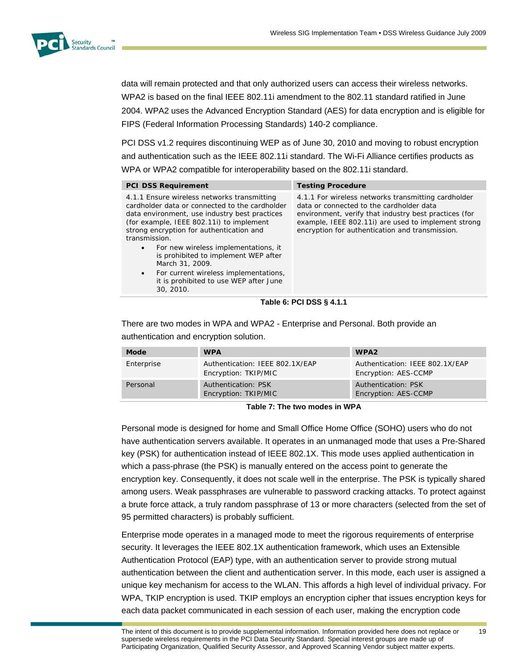

data will remain protected and that only authorized users can access their wireless networks. WPA2 is based on the final IEEE 802.11i amendment to the 802.11 standard ratified in June 2004. WPA2 uses the Advanced Encryption Standard (AES) for data encryption and is eligible for FIPS (Federal Information Processing Standards) 140-2 compliance.

PCI DSS v1.2 requires discontinuing WEP as of June 30, 2010 and moving to robust encryption and authentication such as the IEEE 802.11i standard. The Wi-Fi Alliance certifies products as WPA or WPA2 compatible for interoperability based on the 802.11i standard.

| <b>PCI DSS Requirement</b>                                                                                                                                                                                                                                                                                                                                                                                                                                           | <b>Testing Procedure</b>                                                                                                                                                                                                                                           |  |  |
|----------------------------------------------------------------------------------------------------------------------------------------------------------------------------------------------------------------------------------------------------------------------------------------------------------------------------------------------------------------------------------------------------------------------------------------------------------------------|--------------------------------------------------------------------------------------------------------------------------------------------------------------------------------------------------------------------------------------------------------------------|--|--|
| 4.1.1 Ensure wireless networks transmitting<br>cardholder data or connected to the cardholder<br>data environment, use industry best practices<br>(for example, IEEE 802.11i) to implement<br>strong encryption for authentication and<br>transmission.<br>For new wireless implementations, it<br>٠<br>is prohibited to implement WEP after<br>March 31, 2009.<br>For current wireless implementations,<br>٠<br>it is prohibited to use WEP after June<br>30, 2010. | 4.1.1 For wireless networks transmitting cardholder<br>data or connected to the cardholder data<br>environment, verify that industry best practices (for<br>example, IEEE 802.11i) are used to implement strong<br>encryption for authentication and transmission. |  |  |
| ----------                                                                                                                                                                                                                                                                                                                                                                                                                                                           |                                                                                                                                                                                                                                                                    |  |  |

**Table 6: PCI DSS § 4.1.1** 

There are two modes in WPA and WPA2 - Enterprise and Personal. Both provide an authentication and encryption solution.

| Mode       | <b>WPA</b>                                              | WPA <sub>2</sub>                                        |
|------------|---------------------------------------------------------|---------------------------------------------------------|
| Enterprise | Authentication: IEEE 802.1X/EAP<br>Encryption: TKIP/MIC | Authentication: IEEE 802.1X/EAP<br>Encryption: AES-CCMP |
| Personal   | Authentication: PSK<br>Encryption: TKIP/MIC             | Authentication: PSK<br>Encryption: AES-CCMP             |

**Table 7: The two modes in WPA** 

Personal mode is designed for home and Small Office Home Office (SOHO) users who do not have authentication servers available. It operates in an unmanaged mode that uses a Pre-Shared key (PSK) for authentication instead of IEEE 802.1X. This mode uses applied authentication in which a pass-phrase (the PSK) is manually entered on the access point to generate the encryption key. Consequently, it does not scale well in the enterprise. The PSK is typically shared among users. Weak passphrases are vulnerable to password cracking attacks. To protect against a brute force attack, a truly random passphrase of 13 or more characters (selected from the set of 95 permitted characters) is probably sufficient.

Enterprise mode operates in a managed mode to meet the rigorous requirements of enterprise security. It leverages the IEEE 802.1X authentication framework, which uses an Extensible Authentication Protocol (EAP) type, with an authentication server to provide strong mutual authentication between the client and authentication server. In this mode, each user is assigned a unique key mechanism for access to the WLAN. This affords a high level of individual privacy. For WPA, TKIP encryption is used. TKIP employs an encryption cipher that issues encryption keys for each data packet communicated in each session of each user, making the encryption code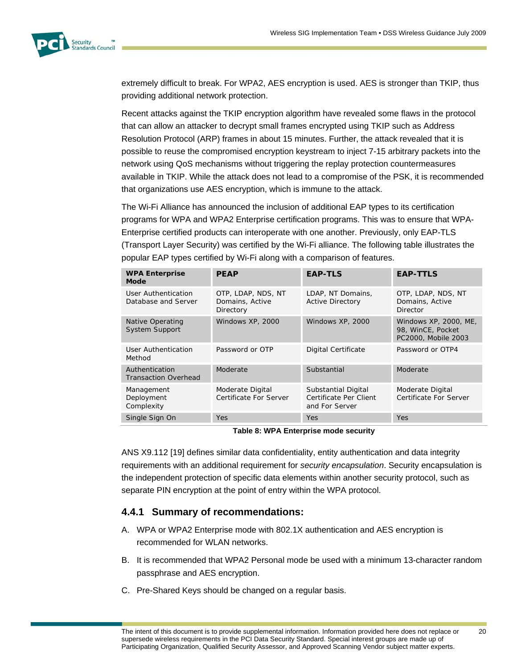

extremely difficult to break. For WPA2, AES encryption is used. AES is stronger than TKIP, thus providing additional network protection.

Recent attacks against the TKIP encryption algorithm have revealed some flaws in the protocol that can allow an attacker to decrypt small frames encrypted using TKIP such as Address Resolution Protocol (ARP) frames in about 15 minutes. Further, the attack revealed that it is possible to reuse the compromised encryption keystream to inject 7-15 arbitrary packets into the network using QoS mechanisms without triggering the replay protection countermeasures available in TKIP. While the attack does not lead to a compromise of the PSK, it is recommended that organizations use AES encryption, which is immune to the attack.

The Wi-Fi Alliance has announced the inclusion of additional EAP types to its certification programs for WPA and WPA2 Enterprise certification programs. This was to ensure that WPA-Enterprise certified products can interoperate with one another. Previously, only EAP-TLS (Transport Layer Security) was certified by the Wi-Fi alliance. The following table illustrates the popular EAP types certified by Wi-Fi along with a comparison of features.

| <b>WPA Enterprise</b><br>Mode                    | <b>PEAP</b>                                        | <b>EAP-TLS</b>                                                  | <b>EAP-TTLS</b>                                                   |
|--------------------------------------------------|----------------------------------------------------|-----------------------------------------------------------------|-------------------------------------------------------------------|
| User Authentication<br>Database and Server       | OTP, LDAP, NDS, NT<br>Domains, Active<br>Directory | LDAP, NT Domains,<br><b>Active Directory</b>                    | OTP, LDAP, NDS, NT<br>Domains, Active<br>Director                 |
| <b>Native Operating</b><br><b>System Support</b> | Windows XP, 2000                                   | Windows XP, 2000                                                | Windows XP, 2000, ME,<br>98, WinCE, Pocket<br>PC2000, Mobile 2003 |
| User Authentication<br>Method                    | Password or OTP                                    | Digital Certificate                                             | Password or OTP4                                                  |
| Authentication<br><b>Transaction Overhead</b>    | Moderate                                           | Substantial                                                     | Moderate                                                          |
| Management<br>Deployment<br>Complexity           | Moderate Digital<br>Certificate For Server         | Substantial Digital<br>Certificate Per Client<br>and For Server | Moderate Digital<br>Certificate For Server                        |
| Single Sign On                                   | <b>Yes</b>                                         | <b>Yes</b>                                                      | <b>Yes</b>                                                        |

**Table 8: WPA Enterprise mode security** 

ANS X9.112 [19] defines similar data confidentiality, entity authentication and data integrity requirements with an additional requirement for *security encapsulation*. Security encapsulation is the independent protection of specific data elements within another security protocol, such as separate PIN encryption at the point of entry within the WPA protocol.

### **4.4.1 Summary of recommendations:**

- A. WPA or WPA2 Enterprise mode with 802.1X authentication and AES encryption is recommended for WLAN networks.
- B. It is recommended that WPA2 Personal mode be used with a minimum 13-character random passphrase and AES encryption.
- C. Pre-Shared Keys should be changed on a regular basis.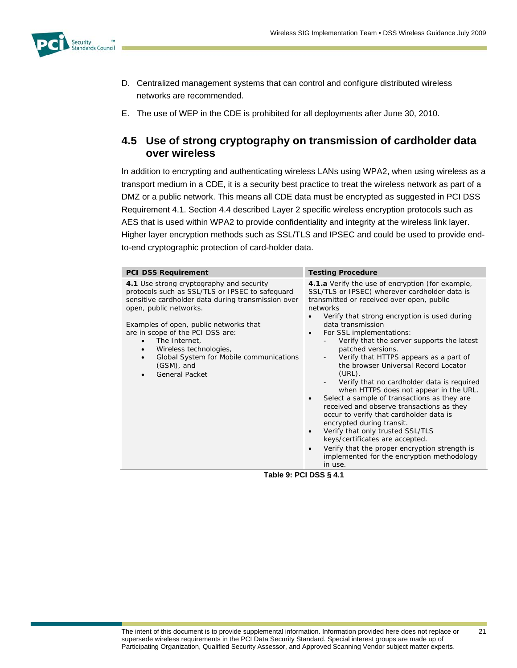

- D. Centralized management systems that can control and configure distributed wireless networks are recommended.
- E. The use of WEP in the CDE is prohibited for all deployments after June 30, 2010.

# **4.5 Use of strong cryptography on transmission of cardholder data over wireless**

In addition to encrypting and authenticating wireless LANs using WPA2, when using wireless as a transport medium in a CDE, it is a security best practice to treat the wireless network as part of a DMZ or a public network. This means all CDE data must be encrypted as suggested in PCI DSS Requirement 4.1. Section 4.4 described Layer 2 specific wireless encryption protocols such as AES that is used within WPA2 to provide confidentiality and integrity at the wireless link layer. Higher layer encryption methods such as SSL/TLS and IPSEC and could be used to provide endto-end cryptographic protection of card-holder data.

| <b>PCI DSS Requirement</b>                                                                                                                                                                                                                                                                                                                                                                                                | <b>Testing Procedure</b>                                                                                                                                                                                                                                                                                                                                                                                                                                                                                                                                                                                                                                                                                                                                                                                                                                                                                          |
|---------------------------------------------------------------------------------------------------------------------------------------------------------------------------------------------------------------------------------------------------------------------------------------------------------------------------------------------------------------------------------------------------------------------------|-------------------------------------------------------------------------------------------------------------------------------------------------------------------------------------------------------------------------------------------------------------------------------------------------------------------------------------------------------------------------------------------------------------------------------------------------------------------------------------------------------------------------------------------------------------------------------------------------------------------------------------------------------------------------------------------------------------------------------------------------------------------------------------------------------------------------------------------------------------------------------------------------------------------|
| 4.1 Use strong cryptography and security<br>protocols such as SSL/TLS or IPSEC to safequard<br>sensitive cardholder data during transmission over<br>open, public networks.<br>Examples of open, public networks that<br>are in scope of the PCI DSS are:<br>The Internet,<br>$\bullet$<br>Wireless technologies,<br>$\bullet$<br>Global System for Mobile communications<br>$\bullet$<br>$(GSM)$ , and<br>General Packet | 4.1.a Verify the use of encryption (for example,<br>SSL/TLS or IPSEC) wherever cardholder data is<br>transmitted or received over open, public<br>networks<br>Verify that strong encryption is used during<br>data transmission<br>For SSL implementations:<br>Verify that the server supports the latest<br>patched versions.<br>Verify that HTTPS appears as a part of<br>the browser Universal Record Locator<br>$(URL)$ .<br>Verify that no cardholder data is required<br>when HTTPS does not appear in the URL.<br>Select a sample of transactions as they are<br>$\bullet$<br>received and observe transactions as they<br>occur to verify that cardholder data is<br>encrypted during transit.<br>Verify that only trusted SSL/TLS<br>$\bullet$<br>keys/certificates are accepted.<br>Verify that the proper encryption strength is<br>$\bullet$<br>implemented for the encryption methodology<br>in use. |

**Table 9: PCI DSS § 4.1**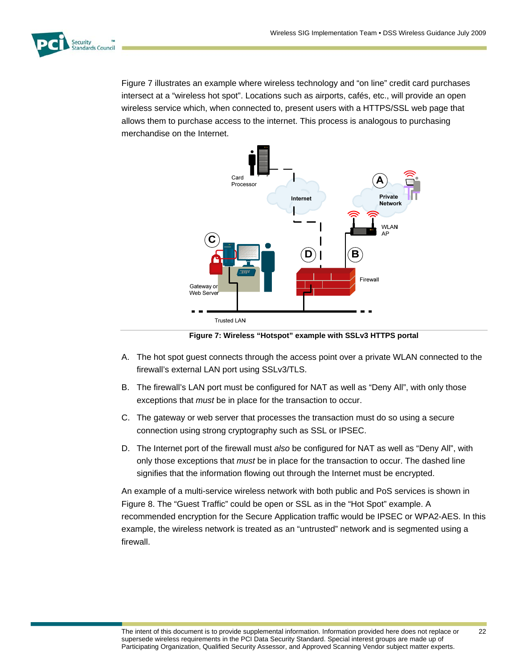

Figure 7 illustrates an example where wireless technology and "on line" credit card purchases intersect at a "wireless hot spot". Locations such as airports, cafés, etc., will provide an open wireless service which, when connected to, present users with a HTTPS/SSL web page that allows them to purchase access to the internet. This process is analogous to purchasing merchandise on the Internet.



**Figure 7: Wireless "Hotspot" example with SSLv3 HTTPS portal** 

- A. The hot spot guest connects through the access point over a private WLAN connected to the firewall's external LAN port using SSLv3/TLS.
- B. The firewall's LAN port must be configured for NAT as well as "Deny All", with only those exceptions that *must* be in place for the transaction to occur.
- C. The gateway or web server that processes the transaction must do so using a secure connection using strong cryptography such as SSL or IPSEC.
- D. The Internet port of the firewall must *also* be configured for NAT as well as "Deny All", with only those exceptions that *must* be in place for the transaction to occur. The dashed line signifies that the information flowing out through the Internet must be encrypted.

An example of a multi-service wireless network with both public and PoS services is shown in Figure 8. The "Guest Traffic" could be open or SSL as in the "Hot Spot" example. A recommended encryption for the Secure Application traffic would be IPSEC or WPA2-AES. In this example, the wireless network is treated as an "untrusted" network and is segmented using a firewall.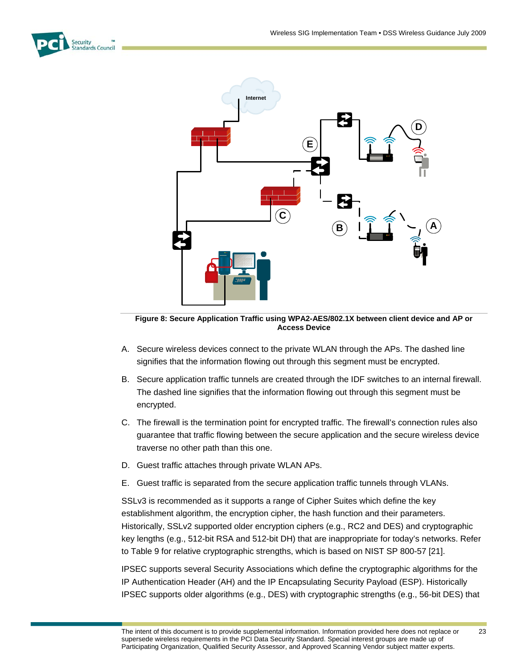



**Figure 8: Secure Application Traffic using WPA2-AES/802.1X between client device and AP or Access Device** 

- A. Secure wireless devices connect to the private WLAN through the APs. The dashed line signifies that the information flowing out through this segment must be encrypted.
- B. Secure application traffic tunnels are created through the IDF switches to an internal firewall. The dashed line signifies that the information flowing out through this segment must be encrypted.
- C. The firewall is the termination point for encrypted traffic. The firewall's connection rules also guarantee that traffic flowing between the secure application and the secure wireless device traverse no other path than this one.
- D. Guest traffic attaches through private WLAN APs.
- E. Guest traffic is separated from the secure application traffic tunnels through VLANs.

SSLv3 is recommended as it supports a range of Cipher Suites which define the key establishment algorithm, the encryption cipher, the hash function and their parameters. Historically, SSLv2 supported older encryption ciphers (e.g., RC2 and DES) and cryptographic key lengths (e.g., 512-bit RSA and 512-bit DH) that are inappropriate for today's networks. Refer to Table 9 for relative cryptographic strengths, which is based on NIST SP 800-57 [21].

IPSEC supports several Security Associations which define the cryptographic algorithms for the IP Authentication Header (AH) and the IP Encapsulating Security Payload (ESP). Historically IPSEC supports older algorithms (e.g., DES) with cryptographic strengths (e.g., 56-bit DES) that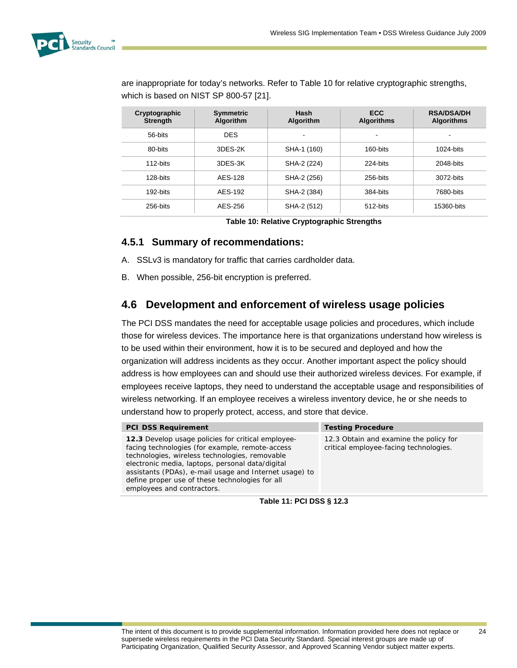

are inappropriate for today's networks. Refer to Table 10 for relative cryptographic strengths, which is based on NIST SP 800-57 [21].

| Cryptographic<br><b>Strength</b> | <b>Symmetric</b><br><b>Algorithm</b> | Hash<br><b>Algorithm</b> | <b>ECC</b><br><b>Algorithms</b> | <b>RSA/DSA/DH</b><br><b>Algorithms</b> |
|----------------------------------|--------------------------------------|--------------------------|---------------------------------|----------------------------------------|
| 56-bits                          | <b>DES</b>                           | -                        |                                 |                                        |
| 80-bits                          | 3DES-2K                              | SHA-1 (160)              | 160-bits                        | 1024-bits                              |
| 112-bits                         | 3DES-3K                              | SHA-2 (224)              | 224-bits                        | 2048-bits                              |
| 128-bits                         | AES-128                              | SHA-2 (256)              | 256-bits                        | 3072-bits                              |
| 192-bits                         | AES-192                              | SHA-2 (384)              | 384-bits                        | 7680-bits                              |
| 256-bits                         | AES-256                              | SHA-2 (512)              | 512-bits                        | 15360-bits                             |

**Table 10: Relative Cryptographic Strengths** 

### **4.5.1 Summary of recommendations:**

- A. SSLv3 is mandatory for traffic that carries cardholder data.
- B. When possible, 256-bit encryption is preferred.

# **4.6 Development and enforcement of wireless usage policies**

The PCI DSS mandates the need for acceptable usage policies and procedures, which include those for wireless devices. The importance here is that organizations understand how wireless is to be used within their environment, how it is to be secured and deployed and how the organization will address incidents as they occur. Another important aspect the policy should address is how employees can and should use their authorized wireless devices. For example, if employees receive laptops, they need to understand the acceptable usage and responsibilities of wireless networking. If an employee receives a wireless inventory device, he or she needs to understand how to properly protect, access, and store that device.

| <b>PCI DSS Requirement</b>                                                                                                                                                                                                                                                                                                                             | <b>Testing Procedure</b>                                                         |  |
|--------------------------------------------------------------------------------------------------------------------------------------------------------------------------------------------------------------------------------------------------------------------------------------------------------------------------------------------------------|----------------------------------------------------------------------------------|--|
| 12.3 Develop usage policies for critical employee-<br>facing technologies (for example, remote-access<br>technologies, wireless technologies, removable<br>electronic media, laptops, personal data/digital<br>assistants (PDAs), e-mail usage and Internet usage) to<br>define proper use of these technologies for all<br>employees and contractors. | 12.3 Obtain and examine the policy for<br>critical employee-facing technologies. |  |
|                                                                                                                                                                                                                                                                                                                                                        |                                                                                  |  |

**Table 11: PCI DSS § 12.3**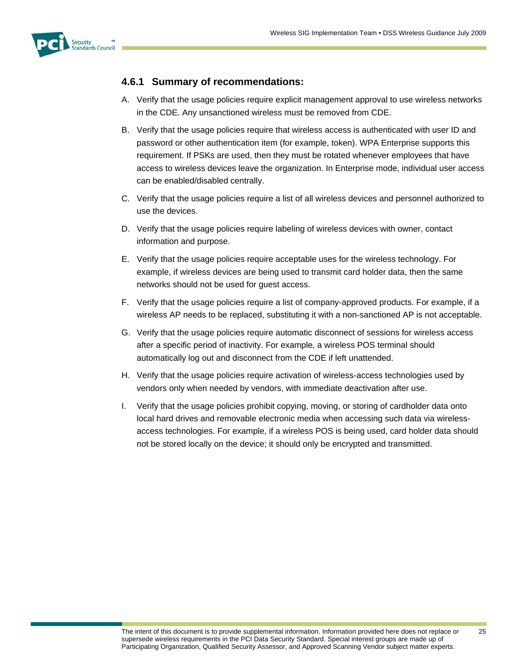

### **4.6.1 Summary of recommendations:**

- A. Verify that the usage policies require explicit management approval to use wireless networks in the CDE. Any unsanctioned wireless must be removed from CDE.
- B. Verify that the usage policies require that wireless access is authenticated with user ID and password or other authentication item (for example, token). WPA Enterprise supports this requirement. If PSKs are used, then they must be rotated whenever employees that have access to wireless devices leave the organization. In Enterprise mode, individual user access can be enabled/disabled centrally.
- C. Verify that the usage policies require a list of all wireless devices and personnel authorized to use the devices.
- D. Verify that the usage policies require labeling of wireless devices with owner, contact information and purpose.
- E. Verify that the usage policies require acceptable uses for the wireless technology. For example, if wireless devices are being used to transmit card holder data, then the same networks should not be used for guest access.
- F. Verify that the usage policies require a list of company-approved products. For example, if a wireless AP needs to be replaced, substituting it with a non-sanctioned AP is not acceptable.
- G. Verify that the usage policies require automatic disconnect of sessions for wireless access after a specific period of inactivity. For example, a wireless POS terminal should automatically log out and disconnect from the CDE if left unattended.
- H. Verify that the usage policies require activation of wireless-access technologies used by vendors only when needed by vendors, with immediate deactivation after use.
- I. Verify that the usage policies prohibit copying, moving, or storing of cardholder data onto local hard drives and removable electronic media when accessing such data via wirelessaccess technologies. For example, if a wireless POS is being used, card holder data should not be stored locally on the device; it should only be encrypted and transmitted.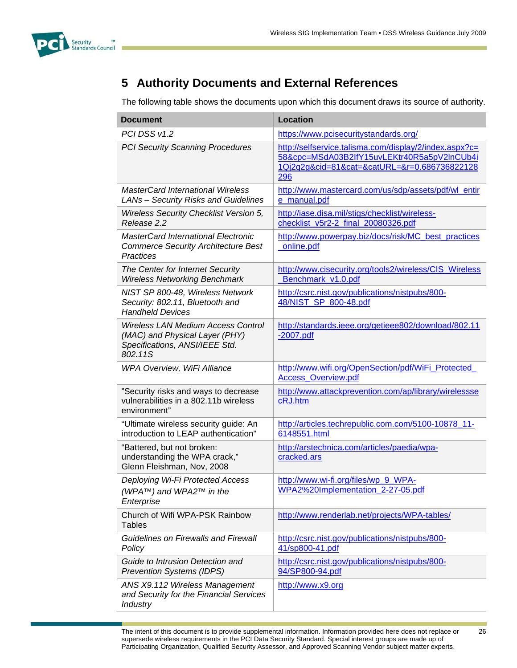

# **5 Authority Documents and External References**

The following table shows the documents upon which this document draws its source of authority.

| <b>Document</b>                                                                                                          | <b>Location</b>                                                                                                                                              |
|--------------------------------------------------------------------------------------------------------------------------|--------------------------------------------------------------------------------------------------------------------------------------------------------------|
| PCI DSS v1.2                                                                                                             | https://www.pcisecuritystandards.org/                                                                                                                        |
| <b>PCI Security Scanning Procedures</b>                                                                                  | http://selfservice.talisma.com/display/2/index.aspx?c=<br>58&cpc=MSdA03B2lfY15uvLEKtr40R5a5pV2lnCUb4i<br>1Qj2q2g&cid=81&cat=&catURL=&r=0.686736822128<br>296 |
| <b>MasterCard International Wireless</b><br>LANs - Security Risks and Guidelines                                         | http://www.mastercard.com/us/sdp/assets/pdf/wl_entir<br>e_manual.pdf                                                                                         |
| Wireless Security Checklist Version 5,<br>Release 2.2                                                                    | http://iase.disa.mil/stigs/checklist/wireless-<br>checklist_v5r2-2_final_20080326.pdf                                                                        |
| <b>MasterCard International Electronic</b><br><b>Commerce Security Architecture Best</b><br>Practices                    | http://www.powerpay.biz/docs/risk/MC_best_practices<br>online.pdf                                                                                            |
| The Center for Internet Security<br><b>Wireless Networking Benchmark</b>                                                 | http://www.cisecurity.org/tools2/wireless/CIS_Wireless<br>Benchmark v1.0.pdf                                                                                 |
| NIST SP 800-48, Wireless Network<br>Security: 802.11, Bluetooth and<br><b>Handheld Devices</b>                           | http://csrc.nist.gov/publications/nistpubs/800-<br>48/NIST_SP_800-48.pdf                                                                                     |
| <b>Wireless LAN Medium Access Control</b><br>(MAC) and Physical Layer (PHY)<br>Specifications, ANSI/IEEE Std.<br>802.11S | http://standards.ieee.org/getieee802/download/802.11<br>$-2007$ .pdf                                                                                         |
| WPA Overview, WiFi Alliance                                                                                              | http://www.wifi.org/OpenSection/pdf/WiFi_Protected_<br><b>Access Overview.pdf</b>                                                                            |
| "Security risks and ways to decrease<br>vulnerabilities in a 802.11b wireless<br>environment"                            | http://www.attackprevention.com/ap/library/wirelessse<br>cRJ.htm                                                                                             |
| "Ultimate wireless security guide: An<br>introduction to LEAP authentication"                                            | http://articles.techrepublic.com.com/5100-10878_11-<br>6148551.html                                                                                          |
| "Battered, but not broken:<br>understanding the WPA crack,"<br>Glenn Fleishman, Nov, 2008                                | http://arstechnica.com/articles/paedia/wpa-<br>cracked.ars                                                                                                   |
| Deploying Wi-Fi Protected Access<br>(WPA™) and WPA2™ in the<br>Enterprise                                                | http://www.wi-fi.org/files/wp_9_WPA-<br>WPA2%20Implementation_2-27-05.pdf                                                                                    |
| Church of Wifi WPA-PSK Rainbow<br><b>Tables</b>                                                                          | http://www.renderlab.net/projects/WPA-tables/                                                                                                                |
| <b>Guidelines on Firewalls and Firewall</b><br>Policy                                                                    | http://csrc.nist.gov/publications/nistpubs/800-<br>41/sp800-41.pdf                                                                                           |
| Guide to Intrusion Detection and<br><b>Prevention Systems (IDPS)</b>                                                     | http://csrc.nist.gov/publications/nistpubs/800-<br>94/SP800-94.pdf                                                                                           |
| ANS X9.112 Wireless Management<br>and Security for the Financial Services<br><b>Industry</b>                             | http://www.x9.org                                                                                                                                            |

The intent of this document is to provide supplemental information. Information provided here does not replace or supersede wireless requirements in the PCI Data Security Standard. Special interest groups are made up of Participating Organization, Qualified Security Assessor, and Approved Scanning Vendor subject matter experts.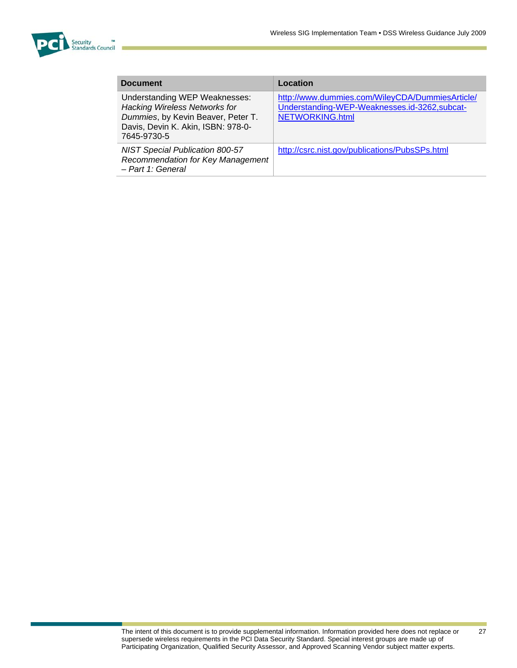

| <b>Document</b>                                                                                                                                                  | Location                                                                                                                  |
|------------------------------------------------------------------------------------------------------------------------------------------------------------------|---------------------------------------------------------------------------------------------------------------------------|
| Understanding WEP Weaknesses:<br><b>Hacking Wireless Networks for</b><br>Dummies, by Kevin Beaver, Peter T.<br>Davis, Devin K. Akin, ISBN: 978-0-<br>7645-9730-5 | http://www.dummies.com/WileyCDA/DummiesArticle/<br>Understanding-WEP-Weaknesses.id-3262,subcat-<br><b>NETWORKING.html</b> |
| <b>NIST Special Publication 800-57</b><br>Recommendation for Key Management<br>- Part 1: General                                                                 | http://csrc.nist.gov/publications/PubsSPs.html                                                                            |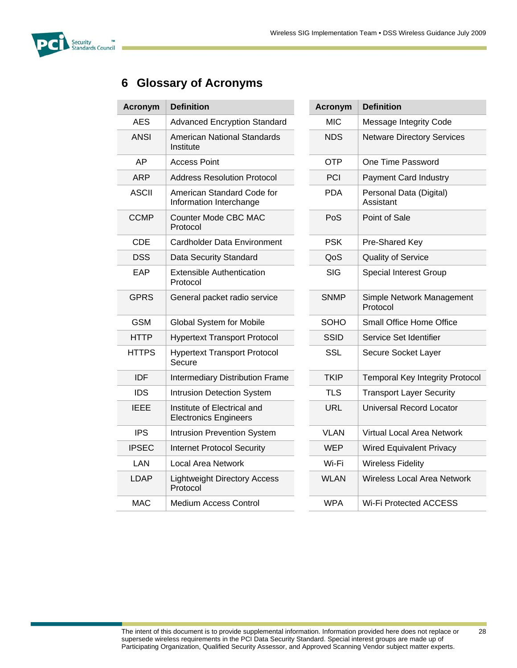

# **6 Glossary of Acronyms**

| <b>Acronym</b> | <b>Definition</b>                                           |  | <b>Acronym</b> | <b>Definition</b>                     |
|----------------|-------------------------------------------------------------|--|----------------|---------------------------------------|
| <b>AES</b>     | <b>Advanced Encryption Standard</b>                         |  | <b>MIC</b>     | Message Integrity Code                |
| <b>ANSI</b>    | <b>American National Standards</b><br>Institute             |  | <b>NDS</b>     | <b>Netware Directory Services</b>     |
| AP             | <b>Access Point</b>                                         |  | <b>OTP</b>     | One Time Password                     |
| <b>ARP</b>     | <b>Address Resolution Protocol</b>                          |  | PCI            | <b>Payment Card Industry</b>          |
| <b>ASCII</b>   | American Standard Code for<br>Information Interchange       |  | <b>PDA</b>     | Personal Data (Digital)<br>Assistant  |
| <b>CCMP</b>    | Counter Mode CBC MAC<br>Protocol                            |  | PoS            | Point of Sale                         |
| <b>CDE</b>     | Cardholder Data Environment                                 |  | <b>PSK</b>     | Pre-Shared Key                        |
| <b>DSS</b>     | Data Security Standard                                      |  | QoS            | <b>Quality of Service</b>             |
| EAP            | <b>Extensible Authentication</b><br>Protocol                |  | <b>SIG</b>     | <b>Special Interest Group</b>         |
| <b>GPRS</b>    | General packet radio service                                |  | <b>SNMP</b>    | Simple Network Management<br>Protocol |
| <b>GSM</b>     | <b>Global System for Mobile</b>                             |  | <b>SOHO</b>    | Small Office Home Office              |
| <b>HTTP</b>    | <b>Hypertext Transport Protocol</b>                         |  | <b>SSID</b>    | Service Set Identifier                |
| <b>HTTPS</b>   | <b>Hypertext Transport Protocol</b><br>Secure               |  | <b>SSL</b>     | Secure Socket Layer                   |
| <b>IDF</b>     | <b>Intermediary Distribution Frame</b>                      |  | <b>TKIP</b>    | <b>Temporal Key Integrity Protoco</b> |
| <b>IDS</b>     | <b>Intrusion Detection System</b>                           |  | <b>TLS</b>     | <b>Transport Layer Security</b>       |
| <b>IEEE</b>    | Institute of Electrical and<br><b>Electronics Engineers</b> |  | <b>URL</b>     | <b>Universal Record Locator</b>       |
| <b>IPS</b>     | Intrusion Prevention System                                 |  | <b>VLAN</b>    | Virtual Local Area Network            |
| <b>IPSEC</b>   | <b>Internet Protocol Security</b>                           |  | <b>WEP</b>     | <b>Wired Equivalent Privacy</b>       |
| <b>LAN</b>     | <b>Local Area Network</b>                                   |  | Wi-Fi          | <b>Wireless Fidelity</b>              |
| <b>LDAP</b>    | <b>Lightweight Directory Access</b><br>Protocol             |  | <b>WLAN</b>    | <b>Wireless Local Area Network</b>    |
| <b>MAC</b>     | <b>Medium Access Control</b>                                |  | <b>WPA</b>     | <b>Wi-Fi Protected ACCESS</b>         |

| ronym         | <b>Definition</b>                                           | <b>Acronym</b> | <b>Definition</b>                      |
|---------------|-------------------------------------------------------------|----------------|----------------------------------------|
| AES           | <b>Advanced Encryption Standard</b>                         | <b>MIC</b>     | Message Integrity Code                 |
| <b>INSI</b>   | American National Standards<br>Institute                    | <b>NDS</b>     | <b>Netware Directory Services</b>      |
| AP            | <b>Access Point</b>                                         | <b>OTP</b>     | One Time Password                      |
| ARP           | <b>Address Resolution Protocol</b>                          | PCI            | <b>Payment Card Industry</b>           |
| <b>SCII</b>   | American Standard Code for<br>Information Interchange       | <b>PDA</b>     | Personal Data (Digital)<br>Assistant   |
| <b>CMP</b>    | Counter Mode CBC MAC<br>Protocol                            | PoS            | Point of Sale                          |
| CDE           | Cardholder Data Environment                                 | <b>PSK</b>     | Pre-Shared Key                         |
| CSS           | Data Security Standard                                      | QoS            | <b>Quality of Service</b>              |
| EAP           | <b>Extensible Authentication</b><br>Protocol                | <b>SIG</b>     | <b>Special Interest Group</b>          |
| iPRS          | General packet radio service                                | <b>SNMP</b>    | Simple Network Management<br>Protocol  |
| <b>GSM</b>    | Global System for Mobile                                    | <b>SOHO</b>    | Small Office Home Office               |
| <b>ITTP</b>   | <b>Hypertext Transport Protocol</b>                         | <b>SSID</b>    | Service Set Identifier                 |
| <b>TTPS</b>   | <b>Hypertext Transport Protocol</b><br>Secure               | <b>SSL</b>     | Secure Socket Layer                    |
| <b>IDF</b>    | <b>Intermediary Distribution Frame</b>                      | <b>TKIP</b>    | <b>Temporal Key Integrity Protocol</b> |
| IDS           | <b>Intrusion Detection System</b>                           | <b>TLS</b>     | <b>Transport Layer Security</b>        |
| EEE           | Institute of Electrical and<br><b>Electronics Engineers</b> | <b>URL</b>     | <b>Universal Record Locator</b>        |
| <b>IPS</b>    | Intrusion Prevention System                                 | <b>VLAN</b>    | Virtual Local Area Network             |
| <b>SEC</b>    | <b>Internet Protocol Security</b>                           | <b>WEP</b>     | <b>Wired Equivalent Privacy</b>        |
| $\mathsf{AN}$ | <b>Local Area Network</b>                                   | Wi-Fi          | <b>Wireless Fidelity</b>               |
| DAP           | <b>Lightweight Directory Access</b><br>Protocol             | <b>WLAN</b>    | Wireless Local Area Network            |
| <b>MAC</b>    | Medium Access Control                                       | <b>WPA</b>     | <b>Wi-Fi Protected ACCESS</b>          |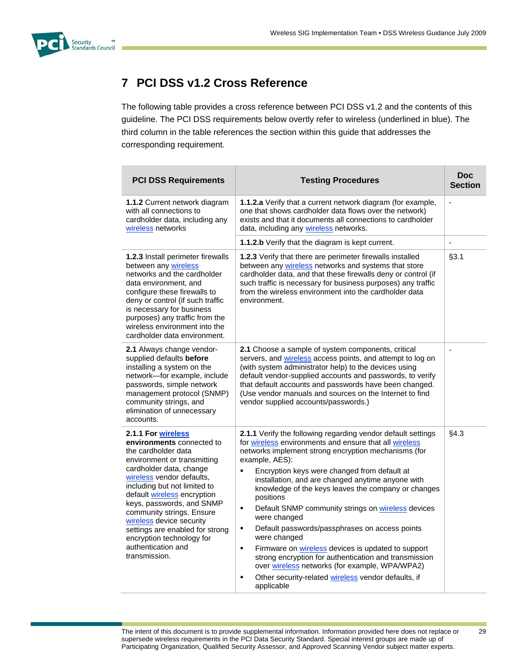

# **7 PCI DSS v1.2 Cross Reference**

The following table provides a cross reference between PCI DSS v1.2 and the contents of this guideline. The PCI DSS requirements below overtly refer to wireless (underlined in blue). The third column in the table references the section within this guide that addresses the corresponding requirement.

| <b>PCI DSS Requirements</b>                                                                                                                                                                                                                                                                                                                                                                                               | <b>Testing Procedures</b>                                                                                                                                                                                                                                                                                                                                                                                                                                                                                                                                                                                                                                                                                                                                                                     | <b>Doc</b><br><b>Section</b> |
|---------------------------------------------------------------------------------------------------------------------------------------------------------------------------------------------------------------------------------------------------------------------------------------------------------------------------------------------------------------------------------------------------------------------------|-----------------------------------------------------------------------------------------------------------------------------------------------------------------------------------------------------------------------------------------------------------------------------------------------------------------------------------------------------------------------------------------------------------------------------------------------------------------------------------------------------------------------------------------------------------------------------------------------------------------------------------------------------------------------------------------------------------------------------------------------------------------------------------------------|------------------------------|
| <b>1.1.2 Current network diagram</b><br>with all connections to<br>cardholder data, including any<br>wireless networks                                                                                                                                                                                                                                                                                                    | <b>1.1.2.a</b> Verify that a current network diagram (for example,<br>one that shows cardholder data flows over the network)<br>exists and that it documents all connections to cardholder<br>data, including any wireless networks.                                                                                                                                                                                                                                                                                                                                                                                                                                                                                                                                                          | $\overline{a}$               |
|                                                                                                                                                                                                                                                                                                                                                                                                                           | 1.1.2.b Verify that the diagram is kept current.                                                                                                                                                                                                                                                                                                                                                                                                                                                                                                                                                                                                                                                                                                                                              | ÷,                           |
| 1.2.3 Install perimeter firewalls<br>between any wireless<br>networks and the cardholder<br>data environment, and<br>configure these firewalls to<br>deny or control (if such traffic<br>is necessary for business<br>purposes) any traffic from the<br>wireless environment into the<br>cardholder data environment.                                                                                                     | 1.2.3 Verify that there are perimeter firewalls installed<br>between any wireless networks and systems that store<br>cardholder data, and that these firewalls deny or control (if<br>such traffic is necessary for business purposes) any traffic<br>from the wireless environment into the cardholder data<br>environment.                                                                                                                                                                                                                                                                                                                                                                                                                                                                  | §3.1                         |
| 2.1 Always change vendor-<br>supplied defaults before<br>installing a system on the<br>network-for example, include<br>passwords, simple network<br>management protocol (SNMP)<br>community strings, and<br>elimination of unnecessary<br>accounts.                                                                                                                                                                       | <b>2.1</b> Choose a sample of system components, critical<br>servers, and wireless access points, and attempt to log on<br>(with system administrator help) to the devices using<br>default vendor-supplied accounts and passwords, to verify<br>that default accounts and passwords have been changed.<br>(Use vendor manuals and sources on the Internet to find<br>vendor supplied accounts/passwords.)                                                                                                                                                                                                                                                                                                                                                                                    |                              |
| 2.1.1 For wireless<br>environments connected to<br>the cardholder data<br>environment or transmitting<br>cardholder data, change<br>wireless vendor defaults,<br>including but not limited to<br>default wireless encryption<br>keys, passwords, and SNMP<br>community strings. Ensure<br>wireless device security<br>settings are enabled for strong<br>encryption technology for<br>authentication and<br>transmission. | 2.1.1 Verify the following regarding vendor default settings<br>for wireless environments and ensure that all wireless<br>networks implement strong encryption mechanisms (for<br>example, AES):<br>$\blacksquare$<br>Encryption keys were changed from default at<br>installation, and are changed anytime anyone with<br>knowledge of the keys leaves the company or changes<br>positions<br>Default SNMP community strings on wireless devices<br>٠<br>were changed<br>Default passwords/passphrases on access points<br>٠<br>were changed<br>Firmware on wireless devices is updated to support<br>٠<br>strong encryption for authentication and transmission<br>over wireless networks (for example, WPA/WPA2)<br>Other security-related wireless vendor defaults, if<br>п<br>applicable | §4.3                         |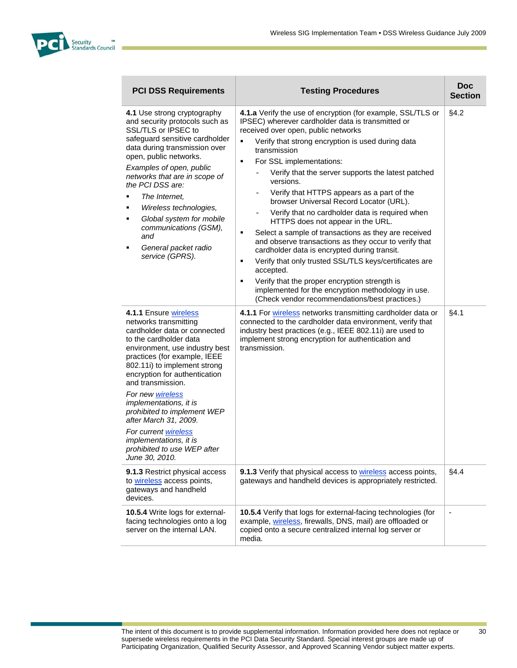

| <b>PCI DSS Requirements</b>                                                                                                                                                                                                                                                                                                                                                                                                                                               | <b>Testing Procedures</b>                                                                                                                                                                                                                                                                                                                                                                                                                                                                                                                                                                                                                                                                                                                                                                                                                                                                                                                                                               | <b>Doc</b><br><b>Section</b> |
|---------------------------------------------------------------------------------------------------------------------------------------------------------------------------------------------------------------------------------------------------------------------------------------------------------------------------------------------------------------------------------------------------------------------------------------------------------------------------|-----------------------------------------------------------------------------------------------------------------------------------------------------------------------------------------------------------------------------------------------------------------------------------------------------------------------------------------------------------------------------------------------------------------------------------------------------------------------------------------------------------------------------------------------------------------------------------------------------------------------------------------------------------------------------------------------------------------------------------------------------------------------------------------------------------------------------------------------------------------------------------------------------------------------------------------------------------------------------------------|------------------------------|
| 4.1 Use strong cryptography<br>and security protocols such as<br>SSL/TLS or IPSEC to<br>safeguard sensitive cardholder<br>data during transmission over<br>open, public networks.<br>Examples of open, public<br>networks that are in scope of<br>the PCI DSS are:<br>The Internet,<br>Wireless technologies,<br>٠<br>Global system for mobile<br>٠<br>communications (GSM),<br>and<br>General packet radio<br>٠<br>service (GPRS).                                       | 4.1.a Verify the use of encryption (for example, SSL/TLS or<br>IPSEC) wherever cardholder data is transmitted or<br>received over open, public networks<br>Verify that strong encryption is used during data<br>٠<br>transmission<br>For SSL implementations:<br>٠<br>Verify that the server supports the latest patched<br>versions.<br>Verify that HTTPS appears as a part of the<br>$\qquad \qquad -$<br>browser Universal Record Locator (URL).<br>Verify that no cardholder data is required when<br>$\overline{\phantom{a}}$<br>HTTPS does not appear in the URL.<br>Select a sample of transactions as they are received<br>٠<br>and observe transactions as they occur to verify that<br>cardholder data is encrypted during transit.<br>Verify that only trusted SSL/TLS keys/certificates are<br>٠<br>accepted.<br>Verify that the proper encryption strength is<br>٠<br>implemented for the encryption methodology in use.<br>(Check vendor recommendations/best practices.) | §4.2                         |
| 4.1.1 Ensure wireless<br>networks transmitting<br>cardholder data or connected<br>to the cardholder data<br>environment, use industry best<br>practices (for example, IEEE<br>802.11i) to implement strong<br>encryption for authentication<br>and transmission.<br>For new wireless<br>implementations, it is<br>prohibited to implement WEP<br>after March 31, 2009.<br>For current wireless<br>implementations, it is<br>prohibited to use WEP after<br>June 30, 2010. | 4.1.1 For wireless networks transmitting cardholder data or<br>connected to the cardholder data environment, verify that<br>industry best practices (e.g., IEEE 802.11i) are used to<br>implement strong encryption for authentication and<br>transmission.                                                                                                                                                                                                                                                                                                                                                                                                                                                                                                                                                                                                                                                                                                                             | §4.1                         |
| 9.1.3 Restrict physical access<br>to wireless access points,<br>gateways and handheld<br>devices.                                                                                                                                                                                                                                                                                                                                                                         | 9.1.3 Verify that physical access to wireless access points,<br>gateways and handheld devices is appropriately restricted.                                                                                                                                                                                                                                                                                                                                                                                                                                                                                                                                                                                                                                                                                                                                                                                                                                                              | §4.4                         |
| <b>10.5.4</b> Write logs for external-<br>facing technologies onto a log<br>server on the internal LAN.                                                                                                                                                                                                                                                                                                                                                                   | 10.5.4 Verify that logs for external-facing technologies (for<br>example, wireless, firewalls, DNS, mail) are offloaded or<br>copied onto a secure centralized internal log server or<br>media.                                                                                                                                                                                                                                                                                                                                                                                                                                                                                                                                                                                                                                                                                                                                                                                         | $\overline{\phantom{a}}$     |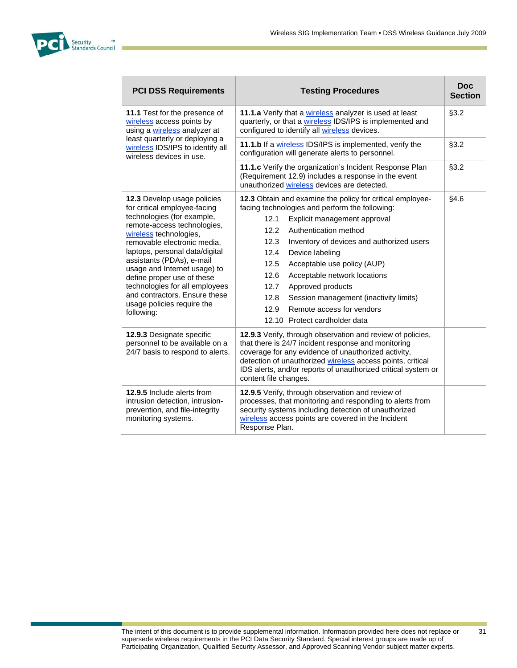

| <b>PCI DSS Requirements</b>                                                                                                                                                                                                                                                                                                                                    | <b>Testing Procedures</b>                                                                                                                                                                                                                                                                                                                                         | <b>Doc</b><br><b>Section</b> |
|----------------------------------------------------------------------------------------------------------------------------------------------------------------------------------------------------------------------------------------------------------------------------------------------------------------------------------------------------------------|-------------------------------------------------------------------------------------------------------------------------------------------------------------------------------------------------------------------------------------------------------------------------------------------------------------------------------------------------------------------|------------------------------|
| 11.1 Test for the presence of<br>wireless access points by<br>using a wireless analyzer at<br>least quarterly or deploying a<br>wireless IDS/IPS to identify all<br>wireless devices in use.                                                                                                                                                                   | 11.1.a Verify that a wireless analyzer is used at least<br>quarterly, or that a wireless IDS/IPS is implemented and<br>configured to identify all wireless devices.                                                                                                                                                                                               | §3.2                         |
|                                                                                                                                                                                                                                                                                                                                                                | 11.1.b If a wireless IDS/IPS is implemented, verify the<br>configuration will generate alerts to personnel.                                                                                                                                                                                                                                                       | §3.2                         |
|                                                                                                                                                                                                                                                                                                                                                                | 11.1.c Verify the organization's Incident Response Plan<br>(Requirement 12.9) includes a response in the event<br>unauthorized wireless devices are detected.                                                                                                                                                                                                     | §3.2                         |
| 12.3 Develop usage policies<br>for critical employee-facing                                                                                                                                                                                                                                                                                                    | 12.3 Obtain and examine the policy for critical employee-<br>facing technologies and perform the following:                                                                                                                                                                                                                                                       | §4.6                         |
| technologies (for example,<br>remote-access technologies,<br>wireless technologies,<br>removable electronic media,<br>laptops, personal data/digital<br>assistants (PDAs), e-mail<br>usage and Internet usage) to<br>define proper use of these<br>technologies for all employees<br>and contractors. Ensure these<br>usage policies require the<br>following: | 12.1<br>Explicit management approval<br>12.2<br>Authentication method                                                                                                                                                                                                                                                                                             |                              |
|                                                                                                                                                                                                                                                                                                                                                                | 12.3<br>Inventory of devices and authorized users<br>12.4<br>Device labeling<br>12.5<br>Acceptable use policy (AUP)<br>12.6<br>Acceptable network locations<br>12.7<br>Approved products<br>12.8<br>Session management (inactivity limits)<br>12.9<br>Remote access for vendors                                                                                   |                              |
| 12.9.3 Designate specific<br>personnel to be available on a<br>24/7 basis to respond to alerts.                                                                                                                                                                                                                                                                | 12.10 Protect cardholder data<br>12.9.3 Verify, through observation and review of policies,<br>that there is 24/7 incident response and monitoring<br>coverage for any evidence of unauthorized activity,<br>detection of unauthorized wireless access points, critical<br>IDS alerts, and/or reports of unauthorized critical system or<br>content file changes. |                              |
| 12.9.5 Include alerts from<br>intrusion detection, intrusion-<br>prevention, and file-integrity<br>monitoring systems.                                                                                                                                                                                                                                         | 12.9.5 Verify, through observation and review of<br>processes, that monitoring and responding to alerts from<br>security systems including detection of unauthorized<br>wireless access points are covered in the Incident<br>Response Plan.                                                                                                                      |                              |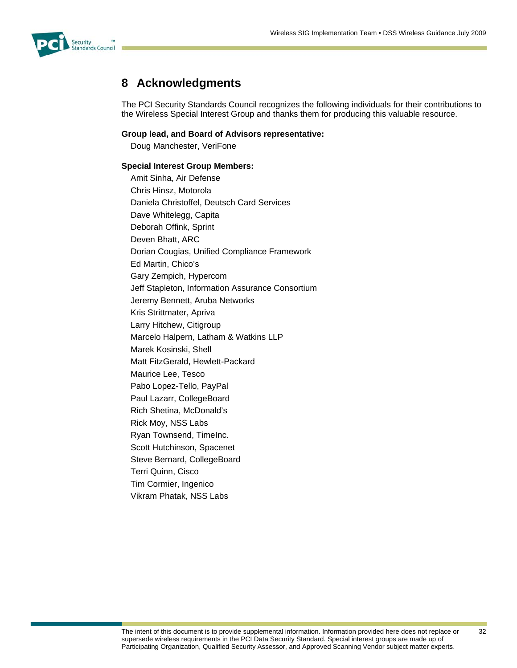

# **8 Acknowledgments**

The PCI Security Standards Council recognizes the following individuals for their contributions to the Wireless Special Interest Group and thanks them for producing this valuable resource.

#### **Group lead, and Board of Advisors representative:**

Doug Manchester, VeriFone

#### **Special Interest Group Members:**

Amit Sinha, Air Defense Chris Hinsz, Motorola Daniela Christoffel, Deutsch Card Services Dave Whitelegg, Capita Deborah Offink, Sprint Deven Bhatt, ARC Dorian Cougias, Unified Compliance Framework Ed Martin, Chico's Gary Zempich, Hypercom Jeff Stapleton, Information Assurance Consortium Jeremy Bennett, Aruba Networks Kris Strittmater, Apriva Larry Hitchew, Citigroup Marcelo Halpern, Latham & Watkins LLP Marek Kosinski, Shell Matt FitzGerald, Hewlett-Packard Maurice Lee, Tesco Pabo Lopez-Tello, PayPal Paul Lazarr, CollegeBoard Rich Shetina, McDonald's Rick Moy, NSS Labs Ryan Townsend, TimeInc. Scott Hutchinson, Spacenet Steve Bernard, CollegeBoard Terri Quinn, Cisco Tim Cormier, Ingenico Vikram Phatak, NSS Labs